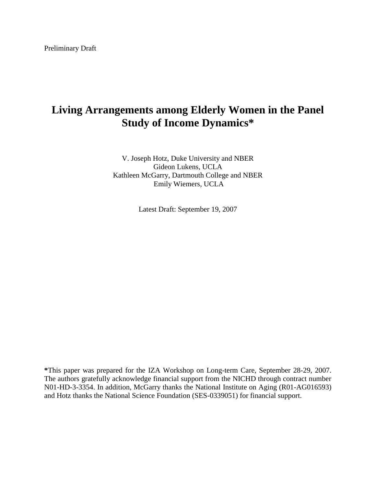# **Living Arrangements among Elderly Women in the Panel Study of Income Dynamics\***

V. Joseph Hotz, Duke University and NBER Gideon Lukens, UCLA Kathleen McGarry, Dartmouth College and NBER Emily Wiemers, UCLA

Latest Draft: September 19, 2007

**\***This paper was prepared for the IZA Workshop on Long-term Care, September 28-29, 2007. The authors gratefully acknowledge financial support from the NICHD through contract number N01-HD-3-3354. In addition, McGarry thanks the National Institute on Aging (R01-AG016593) and Hotz thanks the National Science Foundation (SES-0339051) for financial support.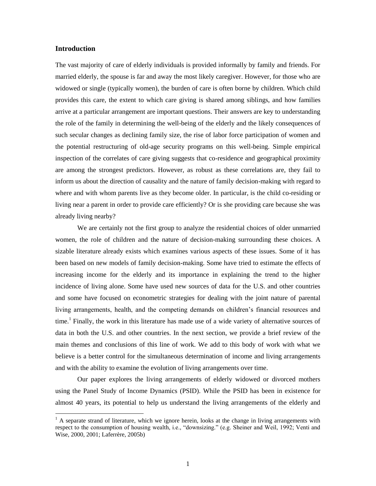### **Introduction**

 $\overline{a}$ 

The vast majority of care of elderly individuals is provided informally by family and friends. For married elderly, the spouse is far and away the most likely caregiver. However, for those who are widowed or single (typically women), the burden of care is often borne by children. Which child provides this care, the extent to which care giving is shared among siblings, and how families arrive at a particular arrangement are important questions. Their answers are key to understanding the role of the family in determining the well-being of the elderly and the likely consequences of such secular changes as declining family size, the rise of labor force participation of women and the potential restructuring of old-age security programs on this well-being. Simple empirical inspection of the correlates of care giving suggests that co-residence and geographical proximity are among the strongest predictors. However, as robust as these correlations are, they fail to inform us about the direction of causality and the nature of family decision-making with regard to where and with whom parents live as they become older. In particular, is the child co-residing or living near a parent in order to provide care efficiently? Or is she providing care because she was already living nearby?

We are certainly not the first group to analyze the residential choices of older unmarried women, the role of children and the nature of decision-making surrounding these choices. A sizable literature already exists which examines various aspects of these issues. Some of it has been based on new models of family decision-making. Some have tried to estimate the effects of increasing income for the elderly and its importance in explaining the trend to the higher incidence of living alone. Some have used new sources of data for the U.S. and other countries and some have focused on econometric strategies for dealing with the joint nature of parental living arrangements, health, and the competing demands on children's financial resources and time.<sup>1</sup> Finally, the work in this literature has made use of a wide variety of alternative sources of data in both the U.S. and other countries. In the next section, we provide a brief review of the main themes and conclusions of this line of work. We add to this body of work with what we believe is a better control for the simultaneous determination of income and living arrangements and with the ability to examine the evolution of living arrangements over time.

Our paper explores the living arrangements of elderly widowed or divorced mothers using the Panel Study of Income Dynamics (PSID). While the PSID has been in existence for almost 40 years, its potential to help us understand the living arrangements of the elderly and

 $<sup>1</sup>$  A separate strand of literature, which we ignore herein, looks at the change in living arrangements with</sup> respect to the consumption of housing wealth, i.e., "downsizing." (e.g. Sheiner and Weil, 1992; Venti and Wise, 2000, 2001; Laferrère, 2005b)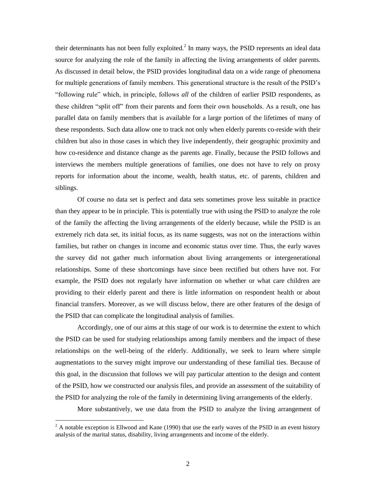their determinants has not been fully exploited.<sup>2</sup> In many ways, the PSID represents an ideal data source for analyzing the role of the family in affecting the living arrangements of older parents. As discussed in detail below, the PSID provides longitudinal data on a wide range of phenomena for multiple generations of family members. This generational structure is the result of the PSID's ―following rule‖ which, in principle, follows *all* of the children of earlier PSID respondents, as these children "split off" from their parents and form their own households. As a result, one has parallel data on family members that is available for a large portion of the lifetimes of many of these respondents. Such data allow one to track not only when elderly parents co-reside with their children but also in those cases in which they live independently, their geographic proximity and how co-residence and distance change as the parents age. Finally, because the PSID follows and interviews the members multiple generations of families, one does not have to rely on proxy reports for information about the income, wealth, health status, etc. of parents, children and siblings.

Of course no data set is perfect and data sets sometimes prove less suitable in practice than they appear to be in principle. This is potentially true with using the PSID to analyze the role of the family the affecting the living arrangements of the elderly because, while the PSID is an extremely rich data set, its initial focus, as its name suggests, was not on the interactions within families, but rather on changes in income and economic status over time. Thus, the early waves the survey did not gather much information about living arrangements or intergenerational relationships. Some of these shortcomings have since been rectified but others have not. For example, the PSID does not regularly have information on whether or what care children are providing to their elderly parent and there is little information on respondent health or about financial transfers. Moreover, as we will discuss below, there are other features of the design of the PSID that can complicate the longitudinal analysis of families.

Accordingly, one of our aims at this stage of our work is to determine the extent to which the PSID can be used for studying relationships among family members and the impact of these relationships on the well-being of the elderly. Additionally, we seek to learn where simple augmentations to the survey might improve our understanding of these familial ties. Because of this goal, in the discussion that follows we will pay particular attention to the design and content of the PSID, how we constructed our analysis files, and provide an assessment of the suitability of the PSID for analyzing the role of the family in determining living arrangements of the elderly.

More substantively, we use data from the PSID to analyze the living arrangement of

 $2<sup>2</sup>$  A notable exception is Ellwood and Kane (1990) that use the early waves of the PSID in an event history analysis of the marital status, disability, living arrangements and income of the elderly.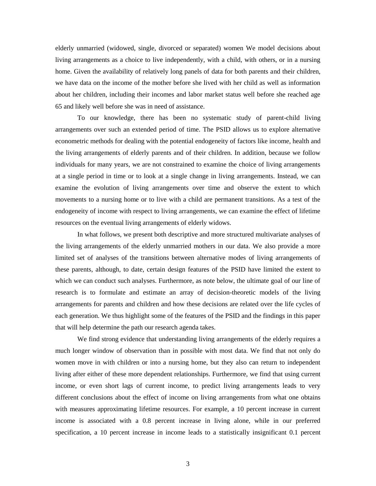elderly unmarried (widowed, single, divorced or separated) women We model decisions about living arrangements as a choice to live independently, with a child, with others, or in a nursing home. Given the availability of relatively long panels of data for both parents and their children, we have data on the income of the mother before she lived with her child as well as information about her children, including their incomes and labor market status well before she reached age 65 and likely well before she was in need of assistance.

To our knowledge, there has been no systematic study of parent-child living arrangements over such an extended period of time. The PSID allows us to explore alternative econometric methods for dealing with the potential endogeneity of factors like income, health and the living arrangements of elderly parents and of their children. In addition, because we follow individuals for many years, we are not constrained to examine the choice of living arrangements at a single period in time or to look at a single change in living arrangements. Instead, we can examine the evolution of living arrangements over time and observe the extent to which movements to a nursing home or to live with a child are permanent transitions. As a test of the endogeneity of income with respect to living arrangements, we can examine the effect of lifetime resources on the eventual living arrangements of elderly widows.

In what follows, we present both descriptive and more structured multivariate analyses of the living arrangements of the elderly unmarried mothers in our data. We also provide a more limited set of analyses of the transitions between alternative modes of living arrangements of these parents, although, to date, certain design features of the PSID have limited the extent to which we can conduct such analyses. Furthermore, as note below, the ultimate goal of our line of research is to formulate and estimate an array of decision-theoretic models of the living arrangements for parents and children and how these decisions are related over the life cycles of each generation. We thus highlight some of the features of the PSID and the findings in this paper that will help determine the path our research agenda takes.

We find strong evidence that understanding living arrangements of the elderly requires a much longer window of observation than in possible with most data. We find that not only do women move in with children or into a nursing home, but they also can return to independent living after either of these more dependent relationships. Furthermore, we find that using current income, or even short lags of current income, to predict living arrangements leads to very different conclusions about the effect of income on living arrangements from what one obtains with measures approximating lifetime resources. For example, a 10 percent increase in current income is associated with a 0.8 percent increase in living alone, while in our preferred specification, a 10 percent increase in income leads to a statistically insignificant 0.1 percent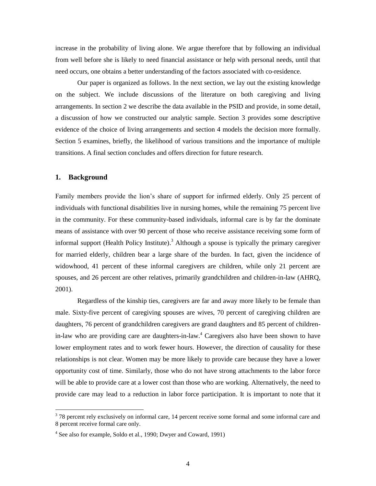increase in the probability of living alone. We argue therefore that by following an individual from well before she is likely to need financial assistance or help with personal needs, until that need occurs, one obtains a better understanding of the factors associated with co-residence.

Our paper is organized as follows. In the next section, we lay out the existing knowledge on the subject. We include discussions of the literature on both caregiving and living arrangements. In section 2 we describe the data available in the PSID and provide, in some detail, a discussion of how we constructed our analytic sample. Section 3 provides some descriptive evidence of the choice of living arrangements and section 4 models the decision more formally. Section 5 examines, briefly, the likelihood of various transitions and the importance of multiple transitions. A final section concludes and offers direction for future research.

#### **1. Background**

 $\overline{a}$ 

Family members provide the lion's share of support for infirmed elderly. Only 25 percent of individuals with functional disabilities live in nursing homes, while the remaining 75 percent live in the community. For these community-based individuals, informal care is by far the dominate means of assistance with over 90 percent of those who receive assistance receiving some form of informal support (Health Policy Institute).<sup>3</sup> Although a spouse is typically the primary caregiver for married elderly, children bear a large share of the burden. In fact, given the incidence of widowhood, 41 percent of these informal caregivers are children, while only 21 percent are spouses, and 26 percent are other relatives, primarily grandchildren and children-in-law (AHRQ, 2001).

Regardless of the kinship ties, caregivers are far and away more likely to be female than male. Sixty-five percent of caregiving spouses are wives, 70 percent of caregiving children are daughters, 76 percent of grandchildren caregivers are grand daughters and 85 percent of childrenin-law who are providing care are daughters-in-law.<sup>4</sup> Caregivers also have been shown to have lower employment rates and to work fewer hours. However, the direction of causality for these relationships is not clear. Women may be more likely to provide care because they have a lower opportunity cost of time. Similarly, those who do not have strong attachments to the labor force will be able to provide care at a lower cost than those who are working. Alternatively, the need to provide care may lead to a reduction in labor force participation. It is important to note that it

<sup>&</sup>lt;sup>3</sup> 78 percent rely exclusively on informal care, 14 percent receive some formal and some informal care and 8 percent receive formal care only.

<sup>&</sup>lt;sup>4</sup> See also for example, Soldo et al., 1990; Dwyer and Coward, 1991)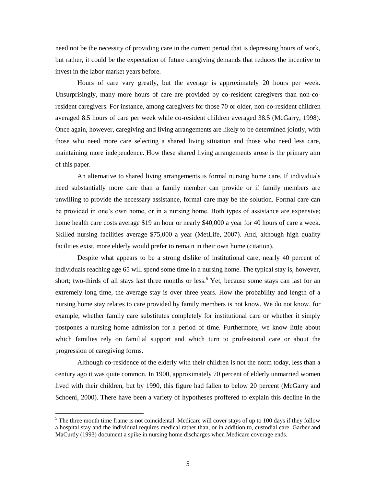need not be the necessity of providing care in the current period that is depressing hours of work, but rather, it could be the expectation of future caregiving demands that reduces the incentive to invest in the labor market years before.

Hours of care vary greatly, but the average is approximately 20 hours per week. Unsurprisingly, many more hours of care are provided by co-resident caregivers than non-coresident caregivers. For instance, among caregivers for those 70 or older, non-co-resident children averaged 8.5 hours of care per week while co-resident children averaged 38.5 (McGarry, 1998). Once again, however, caregiving and living arrangements are likely to be determined jointly, with those who need more care selecting a shared living situation and those who need less care, maintaining more independence. How these shared living arrangements arose is the primary aim of this paper.

An alternative to shared living arrangements is formal nursing home care. If individuals need substantially more care than a family member can provide or if family members are unwilling to provide the necessary assistance, formal care may be the solution. Formal care can be provided in one's own home, or in a nursing home. Both types of assistance are expensive; home health care costs average \$19 an hour or nearly \$40,000 a year for 40 hours of care a week. Skilled nursing facilities average \$75,000 a year (MetLife, 2007). And, although high quality facilities exist, more elderly would prefer to remain in their own home (citation).

Despite what appears to be a strong dislike of institutional care, nearly 40 percent of individuals reaching age 65 will spend some time in a nursing home. The typical stay is, however, short; two-thirds of all stays last three months or less.<sup>5</sup> Yet, because some stays can last for an extremely long time, the average stay is over three years. How the probability and length of a nursing home stay relates to care provided by family members is not know. We do not know, for example, whether family care substitutes completely for institutional care or whether it simply postpones a nursing home admission for a period of time. Furthermore, we know little about which families rely on familial support and which turn to professional care or about the progression of caregiving forms.

Although co-residence of the elderly with their children is not the norm today, less than a century ago it was quite common. In 1900, approximately 70 percent of elderly unmarried women lived with their children, but by 1990, this figure had fallen to below 20 percent (McGarry and Schoeni, 2000). There have been a variety of hypotheses proffered to explain this decline in the

 $<sup>5</sup>$  The three month time frame is not coincidental. Medicare will cover stays of up to 100 days if they follow</sup> a hospital stay and the individual requires medical rather than, or in addition to, custodial care. Garber and MaCurdy (1993) document a spike in nursing home discharges when Medicare coverage ends.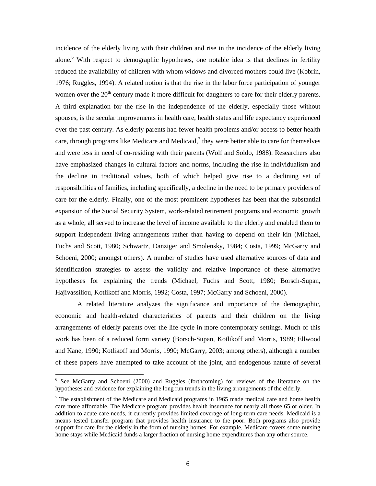incidence of the elderly living with their children and rise in the incidence of the elderly living alone.<sup>6</sup> With respect to demographic hypotheses, one notable idea is that declines in fertility reduced the availability of children with whom widows and divorced mothers could live (Kobrin, 1976; Ruggles, 1994). A related notion is that the rise in the labor force participation of younger women over the  $20<sup>th</sup>$  century made it more difficult for daughters to care for their elderly parents. A third explanation for the rise in the independence of the elderly, especially those without spouses, is the secular improvements in health care, health status and life expectancy experienced over the past century. As elderly parents had fewer health problems and/or access to better health care, through programs like Medicare and Medicaid, $\lambda$  they were better able to care for themselves and were less in need of co-residing with their parents (Wolf and Soldo, 1988). Researchers also have emphasized changes in cultural factors and norms, including the rise in individualism and the decline in traditional values, both of which helped give rise to a declining set of responsibilities of families, including specifically, a decline in the need to be primary providers of care for the elderly. Finally, one of the most prominent hypotheses has been that the substantial expansion of the Social Security System, work-related retirement programs and economic growth as a whole, all served to increase the level of income available to the elderly and enabled them to support independent living arrangements rather than having to depend on their kin (Michael, Fuchs and Scott, 1980; Schwartz, Danziger and Smolensky, 1984; Costa, 1999; McGarry and Schoeni, 2000; amongst others). A number of studies have used alternative sources of data and identification strategies to assess the validity and relative importance of these alternative hypotheses for explaining the trends (Michael, Fuchs and Scott, 1980; Borsch-Supan, Hajivassiliou, Kotlikoff and Morris, 1992; Costa, 1997; McGarry and Schoeni, 2000).

A related literature analyzes the significance and importance of the demographic, economic and health-related characteristics of parents and their children on the living arrangements of elderly parents over the life cycle in more contemporary settings. Much of this work has been of a reduced form variety (Borsch-Supan, Kotlikoff and Morris, 1989; Ellwood and Kane, 1990; Kotlikoff and Morris, 1990; McGarry, 2003; among others), although a number of these papers have attempted to take account of the joint, and endogenous nature of several

<sup>&</sup>lt;sup>6</sup> See McGarry and Schoeni (2000) and Ruggles (forthcoming) for reviews of the literature on the hypotheses and evidence for explaining the long run trends in the living arrangements of the elderly.

<sup>&</sup>lt;sup>7</sup> The establishment of the Medicare and Medicaid programs in 1965 made medical care and home health care more affordable. The Medicare program provides health insurance for nearly all those 65 or older. In addition to acute care needs, it currently provides limited coverage of long-term care needs. Medicaid is a means tested transfer program that provides health insurance to the poor. Both programs also provide support for care for the elderly in the form of nursing homes. For example, Medicare covers some nursing home stays while Medicaid funds a larger fraction of nursing home expenditures than any other source.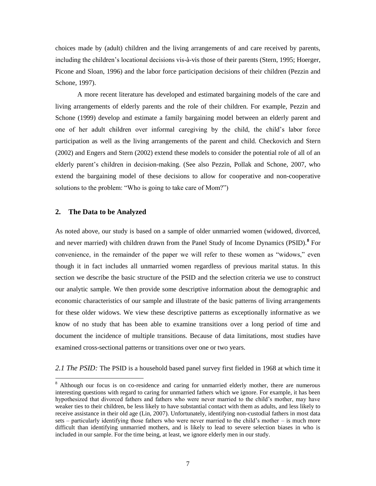choices made by (adult) children and the living arrangements of and care received by parents, including the children's locational decisions vis-à-vis those of their parents (Stern, 1995; Hoerger, Picone and Sloan, 1996) and the labor force participation decisions of their children (Pezzin and Schone, 1997).

A more recent literature has developed and estimated bargaining models of the care and living arrangements of elderly parents and the role of their children. For example, Pezzin and Schone (1999) develop and estimate a family bargaining model between an elderly parent and one of her adult children over informal caregiving by the child, the child's labor force participation as well as the living arrangements of the parent and child. Checkovich and Stern (2002) and Engers and Stern (2002) extend these models to consider the potential role of all of an elderly parent's children in decision-making. (See also Pezzin, Pollak and Schone, 2007, who extend the bargaining model of these decisions to allow for cooperative and non-cooperative solutions to the problem: "Who is going to take care of Mom?")

#### **2. The Data to be Analyzed**

 $\overline{a}$ 

As noted above, our study is based on a sample of older unmarried women (widowed, divorced, and never married) with children drawn from the Panel Study of Income Dynamics (PSID).**<sup>8</sup>** For convenience, in the remainder of the paper we will refer to these women as "widows," even though it in fact includes all unmarried women regardless of previous marital status. In this section we describe the basic structure of the PSID and the selection criteria we use to construct our analytic sample. We then provide some descriptive information about the demographic and economic characteristics of our sample and illustrate of the basic patterns of living arrangements for these older widows. We view these descriptive patterns as exceptionally informative as we know of no study that has been able to examine transitions over a long period of time and document the incidence of multiple transitions. Because of data limitations, most studies have examined cross-sectional patterns or transitions over one or two years.

*2.1 The PSID:* The PSID is a household based panel survey first fielded in 1968 at which time it

<sup>&</sup>lt;sup>8</sup> Although our focus is on co-residence and caring for unmarried elderly mother, there are numerous interesting questions with regard to caring for unmarried fathers which we ignore. For example, it has been hypothesized that divorced fathers and fathers who were never married to the child's mother, may have weaker ties to their children, be less likely to have substantial contact with them as adults, and less likely to receive assistance in their old age (Lin, 2007). Unfortunately, identifying non-custodial fathers in most data sets – particularly identifying those fathers who were never married to the child's mother – is much more difficult than identifying unmarried mothers, and is likely to lead to severe selection biases in who is included in our sample. For the time being, at least, we ignore elderly men in our study.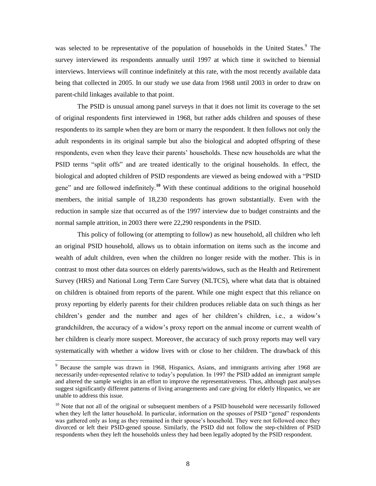was selected to be representative of the population of households in the United States.<sup>9</sup> The survey interviewed its respondents annually until 1997 at which time it switched to biennial interviews. Interviews will continue indefinitely at this rate, with the most recently available data being that collected in 2005. In our study we use data from 1968 until 2003 in order to draw on parent-child linkages available to that point.

The PSID is unusual among panel surveys in that it does not limit its coverage to the set of original respondents first interviewed in 1968, but rather adds children and spouses of these respondents to its sample when they are born or marry the respondent. It then follows not only the adult respondents in its original sample but also the biological and adopted offspring of these respondents, even when they leave their parents' households. These new households are what the PSID terms "split offs" and are treated identically to the original households. In effect, the biological and adopted children of PSID respondents are viewed as being endowed with a "PSID" gene" and are followed indefinitely.<sup>10</sup> With these continual additions to the original household members, the initial sample of 18,230 respondents has grown substantially. Even with the reduction in sample size that occurred as of the 1997 interview due to budget constraints and the normal sample attrition, in 2003 there were 22,290 respondents in the PSID.

This policy of following (or attempting to follow) as new household, all children who left an original PSID household, allows us to obtain information on items such as the income and wealth of adult children, even when the children no longer reside with the mother. This is in contrast to most other data sources on elderly parents/widows, such as the Health and Retirement Survey (HRS) and National Long Term Care Survey (NLTCS), where what data that is obtained on children is obtained from reports of the parent. While one might expect that this reliance on proxy reporting by elderly parents for their children produces reliable data on such things as her children's gender and the number and ages of her children's children, i.e., a widow's grandchildren, the accuracy of a widow's proxy report on the annual income or current wealth of her children is clearly more suspect. Moreover, the accuracy of such proxy reports may well vary systematically with whether a widow lives with or close to her children. The drawback of this

<sup>9</sup> Because the sample was drawn in 1968, Hispanics, Asians, and immigrants arriving after 1968 are necessarily under-represented relative to today's population. In 1997 the PSID added an immigrant sample and altered the sample weights in an effort to improve the representativeness. Thus, although past analyses suggest significantly different patterns of living arrangements and care giving for elderly Hispanics, we are unable to address this issue.

<sup>&</sup>lt;sup>10</sup> Note that not all of the original or subsequent members of a PSID household were necessarily followed when they left the latter household. In particular, information on the spouses of PSID "gened" respondents was gathered only as long as they remained in their spouse's household. They were not followed once they divorced or left their PSID-gened spouse. Similarly, the PSID did not follow the step-children of PSID respondents when they left the households unless they had been legally adopted by the PSID respondent.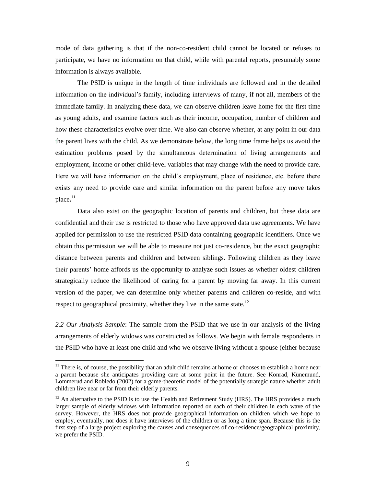mode of data gathering is that if the non-co-resident child cannot be located or refuses to participate, we have no information on that child, while with parental reports, presumably some information is always available.

The PSID is unique in the length of time individuals are followed and in the detailed information on the individual's family, including interviews of many, if not all, members of the immediate family. In analyzing these data, we can observe children leave home for the first time as young adults, and examine factors such as their income, occupation, number of children and how these characteristics evolve over time. We also can observe whether, at any point in our data the parent lives with the child. As we demonstrate below, the long time frame helps us avoid the estimation problems posed by the simultaneous determination of living arrangements and employment, income or other child-level variables that may change with the need to provide care. Here we will have information on the child's employment, place of residence, etc. before there exists any need to provide care and similar information on the parent before any move takes place**.** 11

Data also exist on the geographic location of parents and children, but these data are confidential and their use is restricted to those who have approved data use agreements. We have applied for permission to use the restricted PSID data containing geographic identifiers. Once we obtain this permission we will be able to measure not just co-residence, but the exact geographic distance between parents and children and between siblings. Following children as they leave their parents' home affords us the opportunity to analyze such issues as whether oldest children strategically reduce the likelihood of caring for a parent by moving far away. In this current version of the paper, we can determine only whether parents and children co-reside, and with respect to geographical proximity, whether they live in the same state.<sup>12</sup>

*2.2 Our Analysis Sample*: The sample from the PSID that we use in our analysis of the living arrangements of elderly widows was constructed as follows. We begin with female respondents in the PSID who have at least one child and who we observe living without a spouse (either because

 $11$  There is, of course, the possibility that an adult child remains at home or chooses to establish a home near a parent because she anticipates providing care at some point in the future. See Konrad, Künemund, Lommerud and Robledo (2002) for a game-theoretic model of the potentially strategic nature whether adult children live near or far from their elderly parents.

 $12$  An alternative to the PSID is to use the Health and Retirement Study (HRS). The HRS provides a much larger sample of elderly widows with information reported on each of their children in each wave of the survey. However, the HRS does not provide geographical information on children which we hope to employ, eventually, nor does it have interviews of the children or as long a time span. Because this is the first step of a large project exploring the causes and consequences of co-residence/geographical proximity, we prefer the PSID.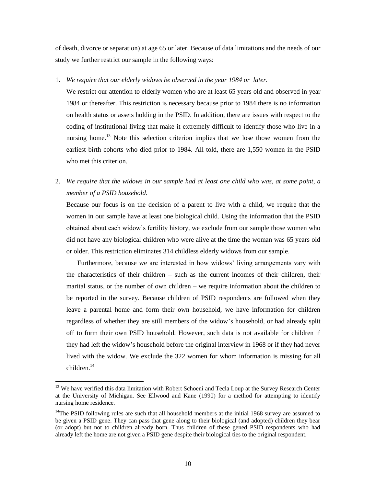of death, divorce or separation) at age 65 or later. Because of data limitations and the needs of our study we further restrict our sample in the following ways:

1. *We require that our elderly widows be observed in the year 1984 or later*.

We restrict our attention to elderly women who are at least 65 years old and observed in year 1984 or thereafter. This restriction is necessary because prior to 1984 there is no information on health status or assets holding in the PSID. In addition, there are issues with respect to the coding of institutional living that make it extremely difficult to identify those who live in a nursing home.<sup>13</sup> Note this selection criterion implies that we lose those women from the earliest birth cohorts who died prior to 1984. All told, there are 1,550 women in the PSID who met this criterion.

2. *We require that the widows in our sample had at least one child who was, at some point, a member of a PSID household.*

Because our focus is on the decision of a parent to live with a child, we require that the women in our sample have at least one biological child. Using the information that the PSID obtained about each widow's fertility history, we exclude from our sample those women who did not have any biological children who were alive at the time the woman was 65 years old or older. This restriction eliminates 314 childless elderly widows from our sample.

Furthermore, because we are interested in how widows' living arrangements vary with the characteristics of their children – such as the current incomes of their children, their marital status, or the number of own children – we require information about the children to be reported in the survey. Because children of PSID respondents are followed when they leave a parental home and form their own household, we have information for children regardless of whether they are still members of the widow's household, or had already split off to form their own PSID household. However, such data is not available for children if they had left the widow's household before the original interview in 1968 or if they had never lived with the widow. We exclude the 322 women for whom information is missing for all children.<sup>14</sup>

<sup>&</sup>lt;sup>13</sup> We have verified this data limitation with Robert Schoeni and Tecla Loup at the Survey Research Center at the University of Michigan. See Ellwood and Kane (1990) for a method for attempting to identify nursing home residence.

 $14$ The PSID following rules are such that all household members at the initial 1968 survey are assumed to be given a PSID gene. They can pass that gene along to their biological (and adopted) children they bear (or adopt) but not to children already born. Thus children of these gened PSID respondents who had already left the home are not given a PSID gene despite their biological ties to the original respondent.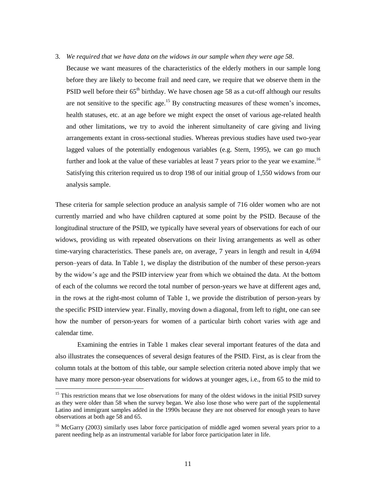- 3. *We required that we have data on the widows in our sample when they were age 58*.
	- Because we want measures of the characteristics of the elderly mothers in our sample long before they are likely to become frail and need care, we require that we observe them in the PSID well before their  $65<sup>th</sup>$  birthday. We have chosen age 58 as a cut-off although our results are not sensitive to the specific age.<sup>15</sup> By constructing measures of these women's incomes, health statuses, etc. at an age before we might expect the onset of various age-related health and other limitations, we try to avoid the inherent simultaneity of care giving and living arrangements extant in cross-sectional studies. Whereas previous studies have used two-year lagged values of the potentially endogenous variables (e.g. Stern, 1995), we can go much further and look at the value of these variables at least  $7$  years prior to the year we examine.<sup>16</sup> Satisfying this criterion required us to drop 198 of our initial group of 1,550 widows from our analysis sample.

These criteria for sample selection produce an analysis sample of 716 older women who are not currently married and who have children captured at some point by the PSID. Because of the longitudinal structure of the PSID, we typically have several years of observations for each of our widows, providing us with repeated observations on their living arrangements as well as other time-varying characteristics. These panels are, on average, 7 years in length and result in 4,694 person–years of data. In Table 1, we display the distribution of the number of these person-years by the widow's age and the PSID interview year from which we obtained the data. At the bottom of each of the columns we record the total number of person-years we have at different ages and, in the rows at the right-most column of Table 1, we provide the distribution of person-years by the specific PSID interview year. Finally, moving down a diagonal, from left to right, one can see how the number of person-years for women of a particular birth cohort varies with age and calendar time.

Examining the entries in Table 1 makes clear several important features of the data and also illustrates the consequences of several design features of the PSID. First, as is clear from the column totals at the bottom of this table, our sample selection criteria noted above imply that we have many more person-year observations for widows at younger ages, i.e., from 65 to the mid to

<sup>&</sup>lt;sup>15</sup> This restriction means that we lose observations for many of the oldest widows in the initial PSID survey as they were older than 58 when the survey began. We also lose those who were part of the supplemental Latino and immigrant samples added in the 1990s because they are not observed for enough years to have observations at both age 58 and 65.

<sup>&</sup>lt;sup>16</sup> McGarry (2003) similarly uses labor force participation of middle aged women several years prior to a parent needing help as an instrumental variable for labor force participation later in life.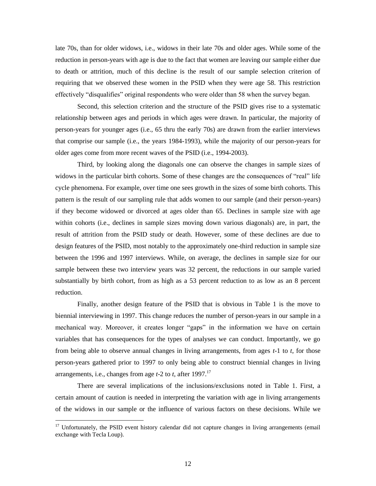late 70s, than for older widows, i.e., widows in their late 70s and older ages. While some of the reduction in person-years with age is due to the fact that women are leaving our sample either due to death or attrition, much of this decline is the result of our sample selection criterion of requiring that we observed these women in the PSID when they were age 58. This restriction effectively "disqualifies" original respondents who were older than 58 when the survey began.

Second, this selection criterion and the structure of the PSID gives rise to a systematic relationship between ages and periods in which ages were drawn. In particular, the majority of person-years for younger ages (i.e., 65 thru the early 70s) are drawn from the earlier interviews that comprise our sample (i.e., the years 1984-1993), while the majority of our person-years for older ages come from more recent waves of the PSID (i.e., 1994-2003).

Third, by looking along the diagonals one can observe the changes in sample sizes of widows in the particular birth cohorts. Some of these changes are the consequences of "real" life cycle phenomena. For example, over time one sees growth in the sizes of some birth cohorts. This pattern is the result of our sampling rule that adds women to our sample (and their person-years) if they become widowed or divorced at ages older than 65. Declines in sample size with age within cohorts (i.e., declines in sample sizes moving down various diagonals) are, in part, the result of attrition from the PSID study or death. However, some of these declines are due to design features of the PSID, most notably to the approximately one-third reduction in sample size between the 1996 and 1997 interviews. While, on average, the declines in sample size for our sample between these two interview years was 32 percent, the reductions in our sample varied substantially by birth cohort, from as high as a 53 percent reduction to as low as an 8 percent reduction.

Finally, another design feature of the PSID that is obvious in Table 1 is the move to biennial interviewing in 1997. This change reduces the number of person-years in our sample in a mechanical way. Moreover, it creates longer "gaps" in the information we have on certain variables that has consequences for the types of analyses we can conduct. Importantly, we go from being able to observe annual changes in living arrangements, from ages *t*-1 to *t*, for those person-years gathered prior to 1997 to only being able to construct biennial changes in living arrangements, i.e., changes from age *t*-2 to *t*, after 1997.<sup>17</sup>

There are several implications of the inclusions/exclusions noted in Table 1. First, a certain amount of caution is needed in interpreting the variation with age in living arrangements of the widows in our sample or the influence of various factors on these decisions. While we

<sup>&</sup>lt;sup>17</sup> Unfortunately, the PSID event history calendar did not capture changes in living arrangements (email exchange with Tecla Loup).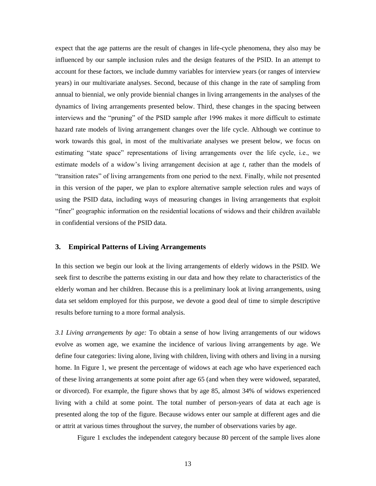expect that the age patterns are the result of changes in life-cycle phenomena, they also may be influenced by our sample inclusion rules and the design features of the PSID. In an attempt to account for these factors, we include dummy variables for interview years (or ranges of interview years) in our multivariate analyses. Second, because of this change in the rate of sampling from annual to biennial, we only provide biennial changes in living arrangements in the analyses of the dynamics of living arrangements presented below. Third, these changes in the spacing between interviews and the "pruning" of the PSID sample after 1996 makes it more difficult to estimate hazard rate models of living arrangement changes over the life cycle. Although we continue to work towards this goal, in most of the multivariate analyses we present below, we focus on estimating "state space" representations of living arrangements over the life cycle, i.e., we estimate models of a widow's living arrangement decision at age *t*, rather than the models of ―transition rates‖ of living arrangements from one period to the next. Finally, while not presented in this version of the paper, we plan to explore alternative sample selection rules and ways of using the PSID data, including ways of measuring changes in living arrangements that exploit ―finer‖ geographic information on the residential locations of widows and their children available in confidential versions of the PSID data.

#### **3. Empirical Patterns of Living Arrangements**

In this section we begin our look at the living arrangements of elderly widows in the PSID. We seek first to describe the patterns existing in our data and how they relate to characteristics of the elderly woman and her children. Because this is a preliminary look at living arrangements, using data set seldom employed for this purpose, we devote a good deal of time to simple descriptive results before turning to a more formal analysis.

*3.1 Living arrangements by age:* To obtain a sense of how living arrangements of our widows evolve as women age, we examine the incidence of various living arrangements by age. We define four categories: living alone, living with children, living with others and living in a nursing home. In Figure 1, we present the percentage of widows at each age who have experienced each of these living arrangements at some point after age 65 (and when they were widowed, separated, or divorced). For example, the figure shows that by age 85, almost 34% of widows experienced living with a child at some point. The total number of person-years of data at each age is presented along the top of the figure. Because widows enter our sample at different ages and die or attrit at various times throughout the survey, the number of observations varies by age.

Figure 1 excludes the independent category because 80 percent of the sample lives alone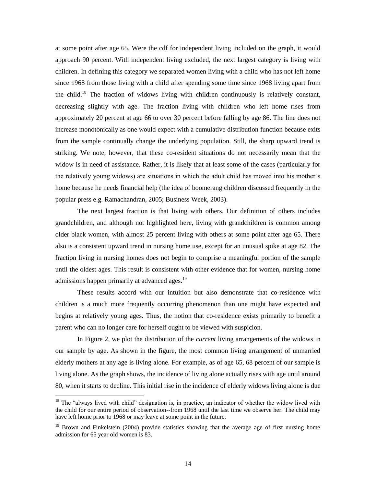at some point after age 65. Were the cdf for independent living included on the graph, it would approach 90 percent. With independent living excluded, the next largest category is living with children. In defining this category we separated women living with a child who has not left home since 1968 from those living with a child after spending some time since 1968 living apart from the child.<sup>18</sup> The fraction of widows living with children continuously is relatively constant, decreasing slightly with age. The fraction living with children who left home rises from approximately 20 percent at age 66 to over 30 percent before falling by age 86. The line does not increase monotonically as one would expect with a cumulative distribution function because exits from the sample continually change the underlying population. Still, the sharp upward trend is striking. We note, however, that these co-resident situations do not necessarily mean that the widow is in need of assistance. Rather, it is likely that at least some of the cases (particularly for the relatively young widows) are situations in which the adult child has moved into his mother's home because he needs financial help (the idea of boomerang children discussed frequently in the popular press e.g. Ramachandran, 2005; Business Week, 2003).

The next largest fraction is that living with others. Our definition of others includes grandchildren, and although not highlighted here, living with grandchildren is common among older black women, with almost 25 percent living with others at some point after age 65. There also is a consistent upward trend in nursing home use, except for an unusual spike at age 82. The fraction living in nursing homes does not begin to comprise a meaningful portion of the sample until the oldest ages. This result is consistent with other evidence that for women, nursing home admissions happen primarily at advanced ages.<sup>19</sup>

These results accord with our intuition but also demonstrate that co-residence with children is a much more frequently occurring phenomenon than one might have expected and begins at relatively young ages. Thus, the notion that co-residence exists primarily to benefit a parent who can no longer care for herself ought to be viewed with suspicion.

In Figure 2, we plot the distribution of the *current* living arrangements of the widows in our sample by age. As shown in the figure, the most common living arrangement of unmarried elderly mothers at any age is living alone. For example, as of age 65, 68 percent of our sample is living alone. As the graph shows, the incidence of living alone actually rises with age until around 80, when it starts to decline. This initial rise in the incidence of elderly widows living alone is due

 $18$  The "always lived with child" designation is, in practice, an indicator of whether the widow lived with the child for our entire period of observation--from 1968 until the last time we observe her. The child may have left home prior to 1968 or may leave at some point in the future.

 $19$  Brown and Finkelstein (2004) provide statistics showing that the average age of first nursing home admission for 65 year old women is 83.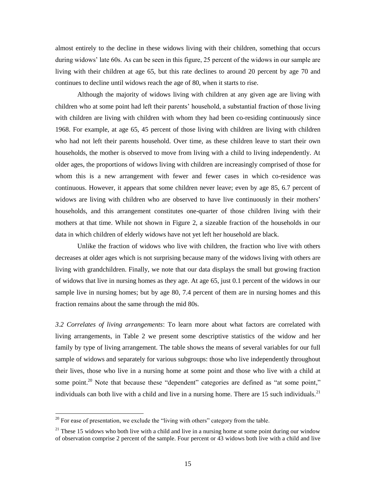almost entirely to the decline in these widows living with their children, something that occurs during widows' late 60s. As can be seen in this figure, 25 percent of the widows in our sample are living with their children at age 65, but this rate declines to around 20 percent by age 70 and continues to decline until widows reach the age of 80, when it starts to rise.

Although the majority of widows living with children at any given age are living with children who at some point had left their parents' household, a substantial fraction of those living with children are living with children with whom they had been co-residing continuously since 1968. For example, at age 65, 45 percent of those living with children are living with children who had not left their parents household. Over time, as these children leave to start their own households, the mother is observed to move from living with a child to living independently. At older ages, the proportions of widows living with children are increasingly comprised of those for whom this is a new arrangement with fewer and fewer cases in which co-residence was continuous. However, it appears that some children never leave; even by age 85, 6.7 percent of widows are living with children who are observed to have live continuously in their mothers' households, and this arrangement constitutes one-quarter of those children living with their mothers at that time. While not shown in Figure 2, a sizeable fraction of the households in our data in which children of elderly widows have not yet left her household are black.

Unlike the fraction of widows who live with children, the fraction who live with others decreases at older ages which is not surprising because many of the widows living with others are living with grandchildren. Finally, we note that our data displays the small but growing fraction of widows that live in nursing homes as they age. At age 65, just 0.1 percent of the widows in our sample live in nursing homes; but by age 80, 7.4 percent of them are in nursing homes and this fraction remains about the same through the mid 80s.

*3.2 Correlates of living arrangements*: To learn more about what factors are correlated with living arrangements, in Table 2 we present some descriptive statistics of the widow and her family by type of living arrangement. The table shows the means of several variables for our full sample of widows and separately for various subgroups: those who live independently throughout their lives, those who live in a nursing home at some point and those who live with a child at some point.<sup>20</sup> Note that because these "dependent" categories are defined as "at some point," individuals can both live with a child and live in a nursing home. There are 15 such individuals.<sup>21</sup>

 $20$  For ease of presentation, we exclude the "living with others" category from the table.

<sup>&</sup>lt;sup>21</sup> These 15 widows who both live with a child and live in a nursing home at some point during our window of observation comprise 2 percent of the sample. Four percent or 43 widows both live with a child and live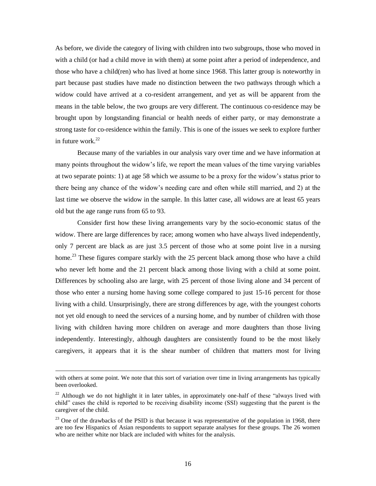As before, we divide the category of living with children into two subgroups, those who moved in with a child (or had a child move in with them) at some point after a period of independence, and those who have a child(ren) who has lived at home since 1968. This latter group is noteworthy in part because past studies have made no distinction between the two pathways through which a widow could have arrived at a co-resident arrangement, and yet as will be apparent from the means in the table below, the two groups are very different. The continuous co-residence may be brought upon by longstanding financial or health needs of either party, or may demonstrate a strong taste for co-residence within the family. This is one of the issues we seek to explore further in future work. $^{22}$ 

Because many of the variables in our analysis vary over time and we have information at many points throughout the widow's life, we report the mean values of the time varying variables at two separate points: 1) at age 58 which we assume to be a proxy for the widow's status prior to there being any chance of the widow's needing care and often while still married, and 2) at the last time we observe the widow in the sample. In this latter case, all widows are at least 65 years old but the age range runs from 65 to 93.

Consider first how these living arrangements vary by the socio-economic status of the widow. There are large differences by race; among women who have always lived independently, only 7 percent are black as are just 3.5 percent of those who at some point live in a nursing home.<sup>23</sup> These figures compare starkly with the 25 percent black among those who have a child who never left home and the 21 percent black among those living with a child at some point. Differences by schooling also are large, with 25 percent of those living alone and 34 percent of those who enter a nursing home having some college compared to just 15-16 percent for those living with a child. Unsurprisingly, there are strong differences by age, with the youngest cohorts not yet old enough to need the services of a nursing home, and by number of children with those living with children having more children on average and more daughters than those living independently. Interestingly, although daughters are consistently found to be the most likely caregivers, it appears that it is the shear number of children that matters most for living

with others at some point. We note that this sort of variation over time in living arrangements has typically been overlooked.

 $22$  Although we do not highlight it in later tables, in approximately one-half of these "always lived with child‖ cases the child is reported to be receiving disability income (SSI) suggesting that the parent is the caregiver of the child.

 $^{23}$  One of the drawbacks of the PSID is that because it was representative of the population in 1968, there are too few Hispanics of Asian respondents to support separate analyses for these groups. The 26 women who are neither white nor black are included with whites for the analysis.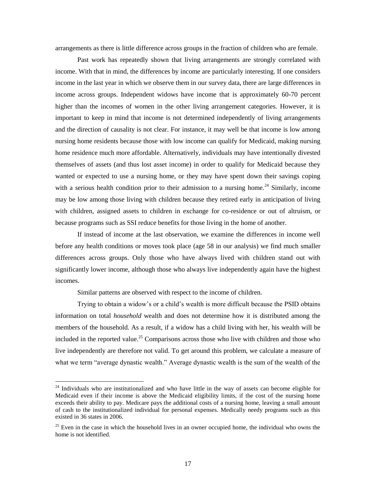arrangements as there is little difference across groups in the fraction of children who are female.

Past work has repeatedly shown that living arrangements are strongly correlated with income. With that in mind, the differences by income are particularly interesting. If one considers income in the last year in which we observe them in our survey data, there are large differences in income across groups. Independent widows have income that is approximately 60-70 percent higher than the incomes of women in the other living arrangement categories. However, it is important to keep in mind that income is not determined independently of living arrangements and the direction of causality is not clear. For instance, it may well be that income is low among nursing home residents because those with low income can qualify for Medicaid, making nursing home residence much more affordable. Alternatively, individuals may have intentionally divested themselves of assets (and thus lost asset income) in order to qualify for Medicaid because they wanted or expected to use a nursing home, or they may have spent down their savings coping with a serious health condition prior to their admission to a nursing home.<sup>24</sup> Similarly, income may be low among those living with children because they retired early in anticipation of living with children, assigned assets to children in exchange for co-residence or out of altruism, or because programs such as SSI reduce benefits for those living in the home of another.

If instead of income at the last observation, we examine the differences in income well before any health conditions or moves took place (age 58 in our analysis) we find much smaller differences across groups. Only those who have always lived with children stand out with significantly lower income, although those who always live independently again have the highest incomes.

Similar patterns are observed with respect to the income of children.

 $\overline{a}$ 

Trying to obtain a widow's or a child's wealth is more difficult because the PSID obtains information on total *household* wealth and does not determine how it is distributed among the members of the household. As a result, if a widow has a child living with her, his wealth will be included in the reported value.<sup>25</sup> Comparisons across those who live with children and those who live independently are therefore not valid. To get around this problem, we calculate a measure of what we term "average dynastic wealth." Average dynastic wealth is the sum of the wealth of the

 $24$  Individuals who are institutionalized and who have little in the way of assets can become eligible for Medicaid even if their income is above the Medicaid eligibility limits, if the cost of the nursing home exceeds their ability to pay. Medicare pays the additional costs of a nursing home, leaving a small amount of cash to the institutionalized individual for personal expenses. Medically needy programs such as this existed in 36 states in 2006.

 $25$  Even in the case in which the household lives in an owner occupied home, the individual who owns the home is not identified.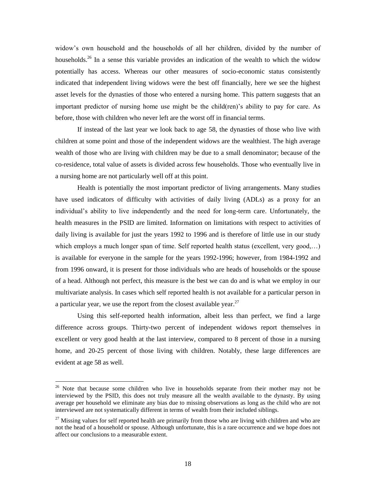widow's own household and the households of all her children, divided by the number of households.<sup>26</sup> In a sense this variable provides an indication of the wealth to which the widow potentially has access. Whereas our other measures of socio-economic status consistently indicated that independent living widows were the best off financially, here we see the highest asset levels for the dynasties of those who entered a nursing home. This pattern suggests that an important predictor of nursing home use might be the child(ren)'s ability to pay for care. As before, those with children who never left are the worst off in financial terms.

If instead of the last year we look back to age 58, the dynasties of those who live with children at some point and those of the independent widows are the wealthiest. The high average wealth of those who are living with children may be due to a small denominator; because of the co-residence, total value of assets is divided across few households. Those who eventually live in a nursing home are not particularly well off at this point.

Health is potentially the most important predictor of living arrangements. Many studies have used indicators of difficulty with activities of daily living (ADLs) as a proxy for an individual's ability to live independently and the need for long-term care. Unfortunately, the health measures in the PSID are limited. Information on limitations with respect to activities of daily living is available for just the years 1992 to 1996 and is therefore of little use in our study which employs a much longer span of time. Self reported health status (excellent, very good,...) is available for everyone in the sample for the years 1992-1996; however, from 1984-1992 and from 1996 onward, it is present for those individuals who are heads of households or the spouse of a head. Although not perfect, this measure is the best we can do and is what we employ in our multivariate analysis. In cases which self reported health is not available for a particular person in a particular year, we use the report from the closest available year.<sup>27</sup>

Using this self-reported health information, albeit less than perfect, we find a large difference across groups. Thirty-two percent of independent widows report themselves in excellent or very good health at the last interview, compared to 8 percent of those in a nursing home, and 20-25 percent of those living with children. Notably, these large differences are evident at age 58 as well.

 $26$  Note that because some children who live in households separate from their mother may not be interviewed by the PSID, this does not truly measure all the wealth available to the dynasty. By using average per household we eliminate any bias due to missing observations as long as the child who are not interviewed are not systematically different in terms of wealth from their included siblings.

 $^{27}$  Missing values for self reported health are primarily from those who are living with children and who are not the head of a household or spouse. Although unfortunate, this is a rare occurrence and we hope does not affect our conclusions to a measurable extent.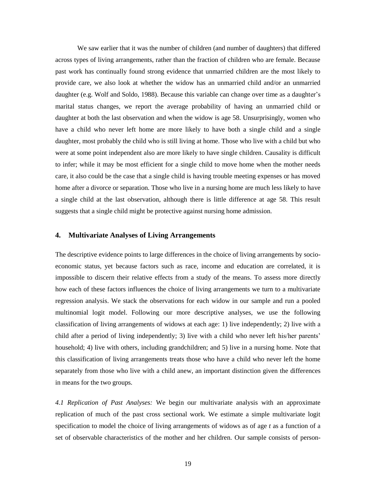We saw earlier that it was the number of children (and number of daughters) that differed across types of living arrangements, rather than the fraction of children who are female. Because past work has continually found strong evidence that unmarried children are the most likely to provide care, we also look at whether the widow has an unmarried child and/or an unmarried daughter (e.g. Wolf and Soldo, 1988). Because this variable can change over time as a daughter's marital status changes, we report the average probability of having an unmarried child or daughter at both the last observation and when the widow is age 58. Unsurprisingly, women who have a child who never left home are more likely to have both a single child and a single daughter, most probably the child who is still living at home. Those who live with a child but who were at some point independent also are more likely to have single children. Causality is difficult to infer; while it may be most efficient for a single child to move home when the mother needs care, it also could be the case that a single child is having trouble meeting expenses or has moved home after a divorce or separation. Those who live in a nursing home are much less likely to have a single child at the last observation, although there is little difference at age 58. This result suggests that a single child might be protective against nursing home admission.

#### **4. Multivariate Analyses of Living Arrangements**

The descriptive evidence points to large differences in the choice of living arrangements by socioeconomic status, yet because factors such as race, income and education are correlated, it is impossible to discern their relative effects from a study of the means. To assess more directly how each of these factors influences the choice of living arrangements we turn to a multivariate regression analysis. We stack the observations for each widow in our sample and run a pooled multinomial logit model. Following our more descriptive analyses, we use the following classification of living arrangements of widows at each age: 1) live independently; 2) live with a child after a period of living independently; 3) live with a child who never left his/her parents' household; 4) live with others, including grandchildren; and 5) live in a nursing home. Note that this classification of living arrangements treats those who have a child who never left the home separately from those who live with a child anew, an important distinction given the differences in means for the two groups.

*4.1 Replication of Past Analyses:* We begin our multivariate analysis with an approximate replication of much of the past cross sectional work. We estimate a simple multivariate logit specification to model the choice of living arrangements of widows as of age *t* as a function of a set of observable characteristics of the mother and her children. Our sample consists of person-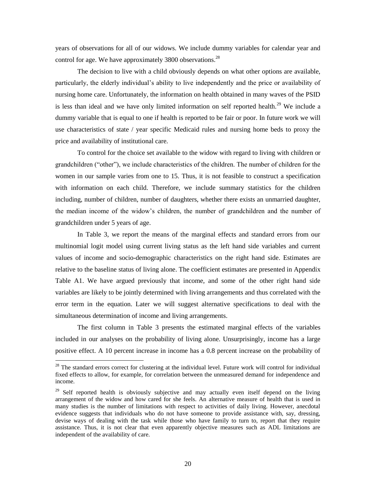years of observations for all of our widows. We include dummy variables for calendar year and control for age. We have approximately 3800 observations.<sup>28</sup>

The decision to live with a child obviously depends on what other options are available, particularly, the elderly individual's ability to live independently and the price or availability of nursing home care. Unfortunately, the information on health obtained in many waves of the PSID is less than ideal and we have only limited information on self reported health.<sup>29</sup> We include a dummy variable that is equal to one if health is reported to be fair or poor. In future work we will use characteristics of state / year specific Medicaid rules and nursing home beds to proxy the price and availability of institutional care.

To control for the choice set available to the widow with regard to living with children or grandchildren ("other"), we include characteristics of the children. The number of children for the women in our sample varies from one to 15. Thus, it is not feasible to construct a specification with information on each child. Therefore, we include summary statistics for the children including, number of children, number of daughters, whether there exists an unmarried daughter, the median income of the widow's children, the number of grandchildren and the number of grandchildren under 5 years of age.

In Table 3, we report the means of the marginal effects and standard errors from our multinomial logit model using current living status as the left hand side variables and current values of income and socio-demographic characteristics on the right hand side. Estimates are relative to the baseline status of living alone. The coefficient estimates are presented in Appendix Table A1. We have argued previously that income, and some of the other right hand side variables are likely to be jointly determined with living arrangements and thus correlated with the error term in the equation. Later we will suggest alternative specifications to deal with the simultaneous determination of income and living arrangements.

The first column in Table 3 presents the estimated marginal effects of the variables included in our analyses on the probability of living alone. Unsurprisingly, income has a large positive effect. A 10 percent increase in income has a 0.8 percent increase on the probability of

<sup>&</sup>lt;sup>28</sup> The standard errors correct for clustering at the individual level. Future work will control for individual fixed effects to allow, for example, for correlation between the unmeasured demand for independence and income.

<sup>&</sup>lt;sup>29</sup> Self reported health is obviously subjective and may actually even itself depend on the living arrangement of the widow and how cared for she feels. An alternative measure of health that is used in many studies is the number of limitations with respect to activities of daily living. However, anecdotal evidence suggests that individuals who do not have someone to provide assistance with, say, dressing, devise ways of dealing with the task while those who have family to turn to, report that they require assistance. Thus, it is not clear that even apparently objective measures such as ADL limitations are independent of the availability of care.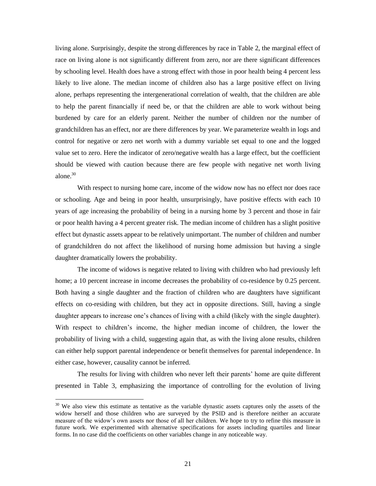living alone. Surprisingly, despite the strong differences by race in Table 2, the marginal effect of race on living alone is not significantly different from zero, nor are there significant differences by schooling level. Health does have a strong effect with those in poor health being 4 percent less likely to live alone. The median income of children also has a large positive effect on living alone, perhaps representing the intergenerational correlation of wealth, that the children are able to help the parent financially if need be, or that the children are able to work without being burdened by care for an elderly parent. Neither the number of children nor the number of grandchildren has an effect, nor are there differences by year. We parameterize wealth in logs and control for negative or zero net worth with a dummy variable set equal to one and the logged value set to zero. Here the indicator of zero/negative wealth has a large effect, but the coefficient should be viewed with caution because there are few people with negative net worth living alone.<sup>30</sup>

With respect to nursing home care, income of the widow now has no effect nor does race or schooling. Age and being in poor health, unsurprisingly, have positive effects with each 10 years of age increasing the probability of being in a nursing home by 3 percent and those in fair or poor health having a 4 percent greater risk. The median income of children has a slight positive effect but dynastic assets appear to be relatively unimportant. The number of children and number of grandchildren do not affect the likelihood of nursing home admission but having a single daughter dramatically lowers the probability.

The income of widows is negative related to living with children who had previously left home; a 10 percent increase in income decreases the probability of co-residence by 0.25 percent. Both having a single daughter and the fraction of children who are daughters have significant effects on co-residing with children, but they act in opposite directions. Still, having a single daughter appears to increase one's chances of living with a child (likely with the single daughter). With respect to children's income, the higher median income of children, the lower the probability of living with a child, suggesting again that, as with the living alone results, children can either help support parental independence or benefit themselves for parental independence. In either case, however, causality cannot be inferred.

The results for living with children who never left their parents' home are quite different presented in Table 3, emphasizing the importance of controlling for the evolution of living

 $30$  We also view this estimate as tentative as the variable dynastic assets captures only the assets of the widow herself and those children who are surveyed by the PSID and is therefore neither an accurate measure of the widow's own assets nor those of all her children. We hope to try to refine this measure in future work. We experimented with alternative specifications for assets including quartiles and linear forms. In no case did the coefficients on other variables change in any noticeable way.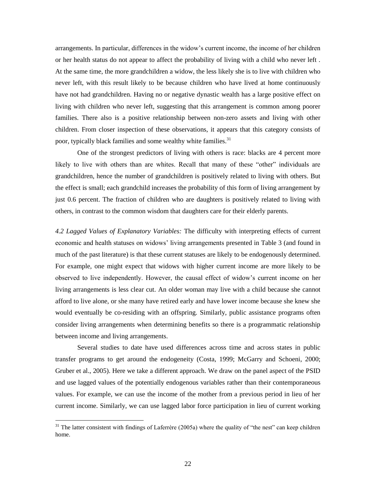arrangements. In particular, differences in the widow's current income, the income of her children or her health status do not appear to affect the probability of living with a child who never left . At the same time, the more grandchildren a widow, the less likely she is to live with children who never left, with this result likely to be because children who have lived at home continuously have not had grandchildren. Having no or negative dynastic wealth has a large positive effect on living with children who never left, suggesting that this arrangement is common among poorer families. There also is a positive relationship between non-zero assets and living with other children. From closer inspection of these observations, it appears that this category consists of poor, typically black families and some wealthy white families.<sup>31</sup>

One of the strongest predictors of living with others is race: blacks are 4 percent more likely to live with others than are whites. Recall that many of these "other" individuals are grandchildren, hence the number of grandchildren is positively related to living with others. But the effect is small; each grandchild increases the probability of this form of living arrangement by just 0.6 percent. The fraction of children who are daughters is positively related to living with others, in contrast to the common wisdom that daughters care for their elderly parents.

*4.2 Lagged Values of Explanatory Variables:* The difficulty with interpreting effects of current economic and health statuses on widows' living arrangements presented in Table 3 (and found in much of the past literature) is that these current statuses are likely to be endogenously determined. For example, one might expect that widows with higher current income are more likely to be observed to live independently. However, the causal effect of widow's current income on her living arrangements is less clear cut. An older woman may live with a child because she cannot afford to live alone, or she many have retired early and have lower income because she knew she would eventually be co-residing with an offspring. Similarly, public assistance programs often consider living arrangements when determining benefits so there is a programmatic relationship between income and living arrangements.

Several studies to date have used differences across time and across states in public transfer programs to get around the endogeneity (Costa, 1999; McGarry and Schoeni, 2000; Gruber et al., 2005). Here we take a different approach. We draw on the panel aspect of the PSID and use lagged values of the potentially endogenous variables rather than their contemporaneous values. For example, we can use the income of the mother from a previous period in lieu of her current income. Similarly, we can use lagged labor force participation in lieu of current working

 $31$  The latter consistent with findings of Laferrère (2005a) where the quality of "the nest" can keep children home.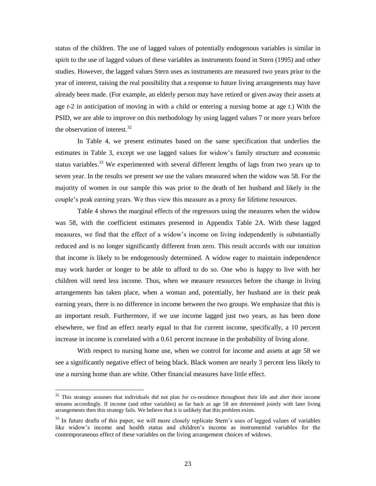status of the children. The use of lagged values of potentially endogenous variables is similar in spirit to the use of lagged values of these variables as instruments found in Stern (1995) and other studies. However, the lagged values Stern uses as instruments are measured two years prior to the year of interest, raising the real possibility that a response to future living arrangements may have already been made. (For example, an elderly person may have retired or given away their assets at age *t*-2 in anticipation of moving in with a child or entering a nursing home at age *t*.) With the PSID, we are able to improve on this methodology by using lagged values 7 or more years before the observation of interest. $32$ 

In Table 4, we present estimates based on the same specification that underlies the estimates in Table 3, except we use lagged values for widow's family structure and economic status variables.<sup>33</sup> We experimented with several different lengths of lags from two years up to seven year. In the results we present we use the values measured when the widow was 58. For the majority of women in our sample this was prior to the death of her husband and likely in the couple's peak earning years. We thus view this measure as a proxy for lifetime resources.

Table 4 shows the marginal effects of the regressors using the measures when the widow was 58, with the coefficient estimates presented in Appendix Table 2A. With these lagged measures, we find that the effect of a widow's income on living independently is substantially reduced and is no longer significantly different from zero. This result accords with our intuition that income is likely to be endogenously determined. A widow eager to maintain independence may work harder or longer to be able to afford to do so. One who is happy to live with her children will need less income. Thus, when we measure resources before the change in living arrangements has taken place, when a woman and, potentially, her husband are in their peak earning years, there is no difference in income between the two groups. We emphasize that this is an important result. Furthermore, if we use income lagged just two years, as has been done elsewhere, we find an effect nearly equal to that for current income, specifically, a 10 percent increase in income is correlated with a 0.61 percent increase in the probability of living alone.

With respect to nursing home use, when we control for income and assets at age 58 we see a significantly negative effect of being black. Black women are nearly 3 percent less likely to use a nursing home than are white. Other financial measures have little effect.

 $32$  This strategy assumes that individuals did not plan for co-residence throughout their life and alter their income streams accordingly. If income (and other variables) as far back as age 58 are determined jointly with later living arrangements then this strategy fails. We believe that it is unlikely that this problem exists.

<sup>&</sup>lt;sup>33</sup> In future drafts of this paper, we will more closely replicate Stern's uses of lagged values of variables like widow's income and health status and children's income as instrumental variables for the contemporaneous effect of these variables on the living arrangement choices of widows.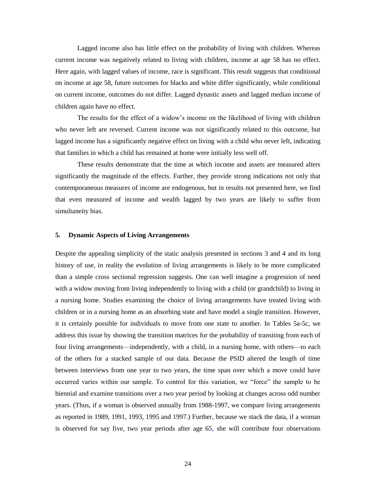Lagged income also has little effect on the probability of living with children. Whereas current income was negatively related to living with children, income at age 58 has no effect. Here again, with lagged values of income, race is significant. This result suggests that conditional on income at age 58, future outcomes for blacks and white differ significantly, while conditional on current income, outcomes do not differ. Lagged dynastic assets and lagged median income of children again have no effect.

The results for the effect of a widow's income on the likelihood of living with children who never left are reversed. Current income was not significantly related to this outcome, but lagged income has a significantly negative effect on living with a child who never left, indicating that families in which a child has remained at home were initially less well off.

These results demonstrate that the time at which income and assets are measured alters significantly the magnitude of the effects. Further, they provide strong indications not only that contemporaneous measures of income are endogenous, but in results not presented here, we find that even measured of income and wealth lagged by two years are likely to suffer from simultaneity bias.

#### **5. Dynamic Aspects of Living Arrangements**

Despite the appealing simplicity of the static analysis presented in sections 3 and 4 and its long history of use, in reality the evolution of living arrangements is likely to be more complicated than a simple cross sectional regression suggests. One can well imagine a progression of need with a widow moving from living independently to living with a child (or grandchild) to living in a nursing home. Studies examining the choice of living arrangements have treated living with children or in a nursing home as an absorbing state and have model a single transition. However, it is certainly possible for individuals to move from one state to another. In Tables 5a-5c, we address this issue by showing the transition matrices for the probability of transiting from each of four living arrangements—independently, with a child, in a nursing home, with others—to each of the others for a stacked sample of our data. Because the PSID altered the length of time between interviews from one year to two years, the time span over which a move could have occurred varies within our sample. To control for this variation, we "force" the sample to be biennial and examine transitions over a two year period by looking at changes across odd number years. (Thus, if a woman is observed annually from 1988-1997, we compare living arrangements as reported in 1989, 1991, 1993, 1995 and 1997.) Further, because we stack the data, if a woman is observed for say five, two year periods after age 65, she will contribute four observations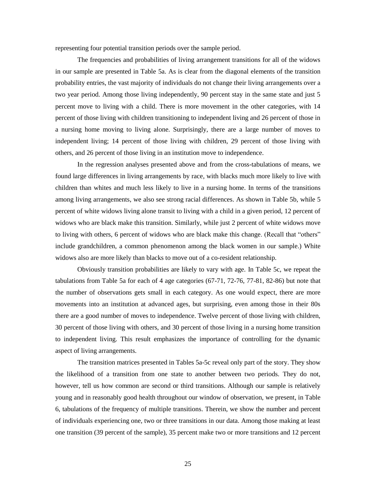representing four potential transition periods over the sample period.

The frequencies and probabilities of living arrangement transitions for all of the widows in our sample are presented in Table 5a. As is clear from the diagonal elements of the transition probability entries, the vast majority of individuals do not change their living arrangements over a two year period. Among those living independently, 90 percent stay in the same state and just 5 percent move to living with a child. There is more movement in the other categories, with 14 percent of those living with children transitioning to independent living and 26 percent of those in a nursing home moving to living alone. Surprisingly, there are a large number of moves to independent living; 14 percent of those living with children, 29 percent of those living with others, and 26 percent of those living in an institution move to independence.

In the regression analyses presented above and from the cross-tabulations of means, we found large differences in living arrangements by race, with blacks much more likely to live with children than whites and much less likely to live in a nursing home. In terms of the transitions among living arrangements, we also see strong racial differences. As shown in Table 5b, while 5 percent of white widows living alone transit to living with a child in a given period, 12 percent of widows who are black make this transition. Similarly, while just 2 percent of white widows move to living with others, 6 percent of widows who are black make this change. (Recall that "others" include grandchildren, a common phenomenon among the black women in our sample.) White widows also are more likely than blacks to move out of a co-resident relationship.

Obviously transition probabilities are likely to vary with age. In Table 5c, we repeat the tabulations from Table 5a for each of 4 age categories (67-71, 72-76, 77-81, 82-86) but note that the number of observations gets small in each category. As one would expect, there are more movements into an institution at advanced ages, but surprising, even among those in their 80s there are a good number of moves to independence. Twelve percent of those living with children, 30 percent of those living with others, and 30 percent of those living in a nursing home transition to independent living. This result emphasizes the importance of controlling for the dynamic aspect of living arrangements.

The transition matrices presented in Tables 5a-5c reveal only part of the story. They show the likelihood of a transition from one state to another between two periods. They do not, however, tell us how common are second or third transitions. Although our sample is relatively young and in reasonably good health throughout our window of observation, we present, in Table 6, tabulations of the frequency of multiple transitions. Therein, we show the number and percent of individuals experiencing one, two or three transitions in our data. Among those making at least one transition (39 percent of the sample), 35 percent make two or more transitions and 12 percent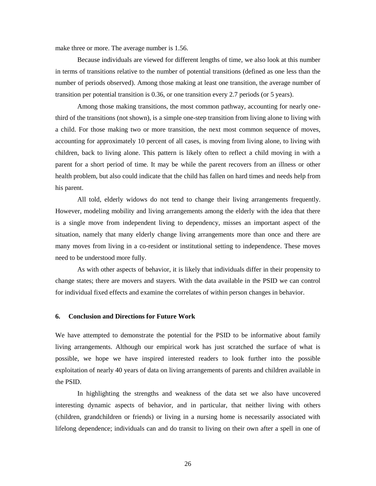make three or more. The average number is 1.56.

Because individuals are viewed for different lengths of time, we also look at this number in terms of transitions relative to the number of potential transitions (defined as one less than the number of periods observed). Among those making at least one transition, the average number of transition per potential transition is 0.36, or one transition every 2.7 periods (or 5 years).

Among those making transitions, the most common pathway, accounting for nearly onethird of the transitions (not shown), is a simple one-step transition from living alone to living with a child. For those making two or more transition, the next most common sequence of moves, accounting for approximately 10 percent of all cases, is moving from living alone, to living with children, back to living alone. This pattern is likely often to reflect a child moving in with a parent for a short period of time. It may be while the parent recovers from an illness or other health problem, but also could indicate that the child has fallen on hard times and needs help from his parent.

All told, elderly widows do not tend to change their living arrangements frequently. However, modeling mobility and living arrangements among the elderly with the idea that there is a single move from independent living to dependency, misses an important aspect of the situation, namely that many elderly change living arrangements more than once and there are many moves from living in a co-resident or institutional setting to independence. These moves need to be understood more fully.

As with other aspects of behavior, it is likely that individuals differ in their propensity to change states; there are movers and stayers. With the data available in the PSID we can control for individual fixed effects and examine the correlates of within person changes in behavior.

#### **6. Conclusion and Directions for Future Work**

We have attempted to demonstrate the potential for the PSID to be informative about family living arrangements. Although our empirical work has just scratched the surface of what is possible, we hope we have inspired interested readers to look further into the possible exploitation of nearly 40 years of data on living arrangements of parents and children available in the PSID.

In highlighting the strengths and weakness of the data set we also have uncovered interesting dynamic aspects of behavior, and in particular, that neither living with others (children, grandchildren or friends) or living in a nursing home is necessarily associated with lifelong dependence; individuals can and do transit to living on their own after a spell in one of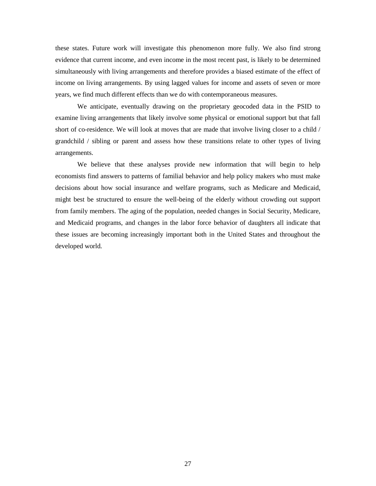these states. Future work will investigate this phenomenon more fully. We also find strong evidence that current income, and even income in the most recent past, is likely to be determined simultaneously with living arrangements and therefore provides a biased estimate of the effect of income on living arrangements. By using lagged values for income and assets of seven or more years, we find much different effects than we do with contemporaneous measures.

We anticipate, eventually drawing on the proprietary geocoded data in the PSID to examine living arrangements that likely involve some physical or emotional support but that fall short of co-residence. We will look at moves that are made that involve living closer to a child / grandchild / sibling or parent and assess how these transitions relate to other types of living arrangements.

We believe that these analyses provide new information that will begin to help economists find answers to patterns of familial behavior and help policy makers who must make decisions about how social insurance and welfare programs, such as Medicare and Medicaid, might best be structured to ensure the well-being of the elderly without crowding out support from family members. The aging of the population, needed changes in Social Security, Medicare, and Medicaid programs, and changes in the labor force behavior of daughters all indicate that these issues are becoming increasingly important both in the United States and throughout the developed world.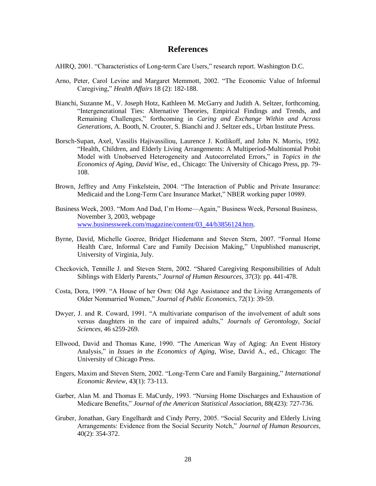## **References**

- AHRQ, 2001. "Characteristics of Long-term Care Users," research report. Washington D.C.
- Arno, Peter, Carol Levine and Margaret Memmott, 2002. "The Economic Value of Informal Caregiving,‖ *Health Affairs* 18 (2): 182-188.
- Bianchi, Suzanne M., V. Joseph Hotz, Kathleen M. McGarry and Judith A. Seltzer, forthcoming. "Intergenerational Ties: Alternative Theories, Empirical Findings and Trends, and Remaining Challenges,‖ forthcoming in *Caring and Exchange Within and Across Generations*, A. Booth, N. Crouter, S. Bianchi and J. Seltzer eds., Urban Institute Press.
- Borsch-Supan, Axel, Vassilis Hajivassiliou, Laurence J. Kotlikoff, and John N. Morris, 1992. "Health, Children, and Elderly Living Arrangements: A Multiperiod-Multinomial Probit Model with Unobserved Heterogeneity and Autocorrelated Errors," in *Topics in the Economics of Aging, David Wise*, ed., Chicago: The University of Chicago Press, pp. 79- 108.
- Brown, Jeffrey and Amy Finkelstein, 2004. "The Interaction of Public and Private Insurance: Medicaid and the Long-Term Care Insurance Market," NBER working paper 10989.
- Business Week, 2003. "Mom And Dad, I'm Home—Again," Business Week, Personal Business, November 3, 2003, webpage [www.businessweek.com/magazine/content/03\\_44/b3856124.htm.](http://www.businessweek.com/magazine/content/03_44/b3856124.htm)
- Byrne, David, Michelle Goeree, Bridget Hiedemann and Steven Stern, 2007. "Formal Home Health Care, Informal Care and Family Decision Making," Unpublished manuscript, University of Virginia, July.
- Checkovich, Tennille J. and Steven Stern, 2002. "Shared Caregiving Responsibilities of Adult Siblings with Elderly Parents," *Journal of Human Resources*, 37(3): pp. 441-478.
- Costa, Dora, 1999. "A House of her Own: Old Age Assistance and the Living Arrangements of Older Nonmarried Women," *Journal of Public Economics*, 72(1): 39-59.
- Dwyer, J. and R. Coward, 1991. "A multivariate comparison of the involvement of adult sons versus daughters in the care of impaired adults," Journals of Gerontology, Social *Sciences*, 46 s259-269.
- Ellwood, David and Thomas Kane, 1990. "The American Way of Aging: An Event History Analysis," in *Issues in the Economics of Aging*, Wise, David A., ed., Chicago: The University of Chicago Press.
- Engers, Maxim and Steven Stern, 2002. "Long-Term Care and Family Bargaining," *International Economic Review*, 43(1): 73-113.
- Garber, Alan M. and Thomas E. MaCurdy, 1993. "Nursing Home Discharges and Exhaustion of Medicare Benefits,‖ *Journal of the American Statistical Association*, 88(423): 727-736.
- Gruber, Jonathan, Gary Engelhardt and Cindy Perry, 2005. "Social Security and Elderly Living Arrangements: Evidence from the Social Security Notch," Journal of Human Resources, 40(2): 354-372.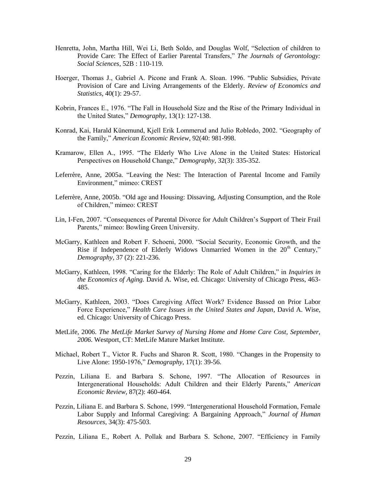- Henretta, John, Martha Hill, Wei Li, Beth Soldo, and Douglas Wolf, "Selection of children to Provide Care: The Effect of Earlier Parental Transfers," *The Journals of Gerontology*: *Social Sciences*, 52B : 110-119.
- Hoerger, Thomas J., Gabriel A. Picone and Frank A. Sloan. 1996. "Public Subsidies, Private Provision of Care and Living Arrangements of the Elderly. *Review of Economics and Statistics*, 40(1): 29-57.
- Kobrin, Frances E., 1976. "The Fall in Household Size and the Rise of the Primary Individual in the United States," *Demography*, 13(1): 127-138.
- Konrad, Kai, Harald Künemund, Kjell Erik Lommerud and Julio Robledo, 2002. "Geography of the Family," American Economic Review, 92(40: 981-998.
- Kramarow, Ellen A., 1995. "The Elderly Who Live Alone in the United States: Historical Perspectives on Household Change," *Demography*, 32(3): 335-352.
- Leferrère, Anne, 2005a. "Leaving the Nest: The Interaction of Parental Income and Family Environment," mimeo: CREST
- Leferrère, Anne, 2005b. "Old age and Housing: Dissaving, Adjusting Consumption, and the Role of Children," mimeo: CREST
- Lin, I-Fen, 2007. "Consequences of Parental Divorce for Adult Children's Support of Their Frail Parents," mimeo: Bowling Green University.
- McGarry, Kathleen and Robert F. Schoeni, 2000. "Social Security, Economic Growth, and the Rise if Independence of Elderly Widows Unmarried Women in the  $20<sup>th</sup>$  Century," *Demography*, 37 (2): 221-236.
- McGarry, Kathleen, 1998. "Caring for the Elderly: The Role of Adult Children," in *Inquiries in the Economics of Aging.* David A. Wise, ed. Chicago: University of Chicago Press, 463- 485.
- McGarry, Kathleen, 2003. "Does Caregiving Affect Work? Evidence Bassed on Prior Labor Force Experience," *Health Care Issues in the United States and Japan*, David A. Wise, ed. Chicago: University of Chicago Press.
- MetLife, 2006. *The MetLife Market Survey of Nursing Home and Home Care Cost, September, 2006*. Westport, CT: MetLife Mature Market Institute.
- Michael, Robert T., Victor R. Fuchs and Sharon R. Scott, 1980. "Changes in the Propensity to Live Alone: 1950-1976," *Demography*, 17(1): 39-56.
- Pezzin, Liliana E. and Barbara S. Schone, 1997. "The Allocation of Resources in Intergenerational Households: Adult Children and their Elderly Parents," American *Economic Review*, 87(2): 460-464.
- Pezzin, Liliana E. and Barbara S. Schone, 1999. "Intergenerational Household Formation, Female Labor Supply and Informal Caregiving: A Bargaining Approach," *Journal of Human Resources*, 34(3): 475-503.
- Pezzin, Liliana E., Robert A. Pollak and Barbara S. Schone, 2007. "Efficiency in Family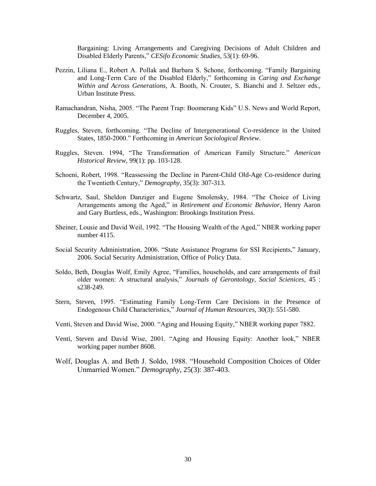Bargaining: Living Arrangements and Caregiving Decisions of Adult Children and Disabled Elderly Parents," *CESifo Economic Studies*, 53(1): 69-96.

- Pezzin, Liliana E., Robert A. Pollak and Barbara S. Schone, forthcoming. "Family Bargaining and Long-Term Care of the Disabled Elderly," forthcoming in *Caring and Exchange Within and Across Generations*, A. Booth, N. Crouter, S. Bianchi and J. Seltzer eds., Urban Institute Press.
- Ramachandran, Nisha, 2005. "The Parent Trap: Boomerang Kids" U.S. News and World Report, December 4, 2005.
- Ruggles, Steven, forthcoming. "The Decline of Intergenerational Co-residence in the United States, 1850-2000." Forthcoming in *American Sociological Review*.
- Ruggles, Steven. 1994, "The Transformation of American Family Structure." American *Historical Review*, 99(1): pp. 103-128.
- Schoeni, Robert, 1998. "Reassessing the Decline in Parent-Child Old-Age Co-residence during the Twentieth Century," *Demography*, 35(3): 307-313.
- Schwartz, Saul, Sheldon Danziger and Eugene Smolensky, 1984. "The Choice of Living Arrangements among the Aged," in *Retirement and Economic Behavior*, Henry Aaron and Gary Burtless, eds., Washington: Brookings Institution Press.
- Sheiner, Lousie and David Weil, 1992. "The Housing Wealth of the Aged," NBER working paper number 4115.
- Social Security Administration, 2006. "State Assistance Programs for SSI Recipients," January, 2006. Social Security Administration, Office of Policy Data.
- Soldo, Beth, Douglas Wolf, Emily Agree, "Families, households, and care arrangements of frail older women: A structural analysis," *Journals of Gerontology, Social Scienices*, 45 : s238-249.
- Stern, Steven, 1995. "Estimating Family Long-Term Care Decisions in the Presence of Endogenous Child Characteristics,‖ *Journal of Human Resources*, 30(3): 551-580.
- Venti, Steven and David Wise, 2000. "Aging and Housing Equity," NBER working paper 7882.
- Venti, Steven and David Wise, 2001. "Aging and Housing Equity: Another look," NBER working paper number 8608.
- Wolf, Douglas A. and Beth J. Soldo, 1988. "Household Composition Choices of Older Unmarried Women." *Demography*, 25(3): 387-403.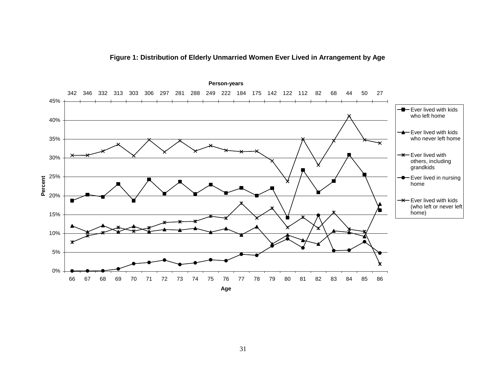

**Figure 1: Distribution of Elderly Unmarried Women Ever Lived in Arrangement by Age**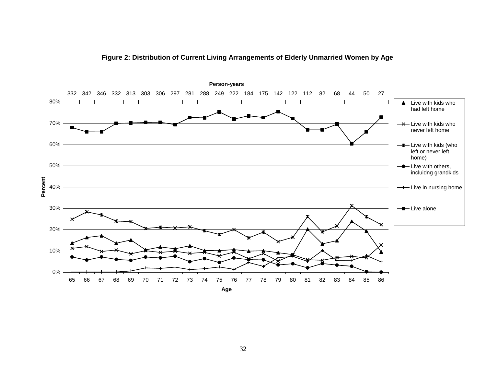

**Figure 2: Distribution of Current Living Arrangements of Elderly Unmarried Women by Age**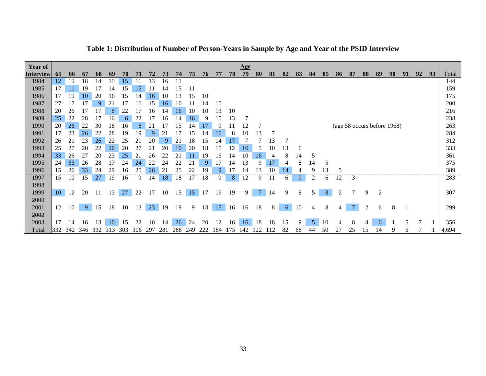| Year of          |     |     |     |     |     |     |     |     |                |     |             |     |                |     | <u>Age</u> |    |     |    |    |    |    |    |    |    |                             |    |    |    |    |       |
|------------------|-----|-----|-----|-----|-----|-----|-----|-----|----------------|-----|-------------|-----|----------------|-----|------------|----|-----|----|----|----|----|----|----|----|-----------------------------|----|----|----|----|-------|
| <b>Interview</b> | 65  | 66  | 67  | 68  | 69  | 70  |     | 72  | 73             | 74  | 75          | 76  | 77             | 78  | 79         | 80 | 81  | 82 | 83 | 84 | 85 | 86 | 87 | 88 | 89                          | 90 | 91 | 92 | 93 | Total |
| 1984             | 12  | 19  | 18  | 14  | 15  | 15  |     | 13  | 16             | 11  |             |     |                |     |            |    |     |    |    |    |    |    |    |    |                             |    |    |    |    | 144   |
| 1985             | 17  | 11  | 19  |     | 14  | .5  | 15  |     | 14             | 15  | 11          |     |                |     |            |    |     |    |    |    |    |    |    |    |                             |    |    |    |    | 159   |
| 1986             | 17  | 19  | 10  | 20  | 16  | l 5 | 14  | 16  | 10             | 13  | 15          | 10  |                |     |            |    |     |    |    |    |    |    |    |    |                             |    |    |    |    | 175   |
| 1987             | 27  |     |     | 9   | 21  |     | 16  | 15  | 16             | 10  |             | 14  | 10             |     |            |    |     |    |    |    |    |    |    |    |                             |    |    |    |    | 200   |
| 1988             | 20  | 26  |     |     | 8   | 22  |     | 16  | 14             | 16  | 10          | 10  | 13             | 10  |            |    |     |    |    |    |    |    |    |    |                             |    |    |    |    | 216   |
| 1989             | 25  | 22  | 28  |     | 16  | 6   | 22  |     | 16             | 14  | 16          | 9   | 10             | 13  |            |    |     |    |    |    |    |    |    |    |                             |    |    |    |    | 238   |
| 1990             | 20  | 26  | 22  | 30  | 18  | l6  | 8   | 21  |                | 15  | .4          | 17  | 9              |     | 12         |    |     |    |    |    |    |    |    |    | (age 58 occurs before 1968) |    |    |    |    | 263   |
| 1991             | 17  | 23  | 26  | 22  | 28  | 19  | 19  | 9   | $\overline{2}$ |     | 15          | 14  | 16             |     | 10         | 13 |     |    |    |    |    |    |    |    |                             |    |    |    |    | 284   |
| 1992             | 26  | 21  | 23  | 26  | 22  | 25  |     | 20  | 9              | 21  | 18          | 15  | $\overline{4}$ |     |            |    | 13  |    |    |    |    |    |    |    |                             |    |    |    |    | 312   |
| 1993             | 25  | 27  | 20  | 22  | 26  | 20  | 27  | 21  | 20             | 10  | 20          | 18  | 15             |     | 16         | 5  | 10  | 13 | 6  |    |    |    |    |    |                             |    |    |    |    | 333   |
| 1994             | 33  | 26  | 27  | 20  | 23  | 25  | 21  | 26  | 22             | 21  | 11          | 19  | 16             | 14  | 10         | 16 |     | 8  | 14 | 5  |    |    |    |    |                             |    |    |    |    | 361   |
| 1995             | 24  | 33  | 26  | 28  | 17  | 24  | 24  | 22  | 24             | 22  | $2^{\circ}$ | 9   |                |     | 3          |    | 17  |    | 8  | 14 | 5  |    |    |    |                             |    |    |    |    | 375   |
| 1996             | 15  | 26  | 33  | 24  | 29  | l 6 | 25  | 26  | $\overline{2}$ | 25  | 22          | 9   |                |     |            |    |     | 14 |    |    | 13 | 5  |    |    |                             |    |    |    |    | 389   |
| 1997             | 15  | 10  | 15  | 27  | 19  | 16  | 9   | 14  | 18             | 18  | 17          | 18  | 9              | 8   | 12         | q  |     | 6  | 9  | 2  | b  | 12 | 3  |    |                             |    |    |    |    | 283   |
| 1998             |     |     |     |     |     |     |     |     |                |     |             |     |                |     |            |    |     |    |    |    |    |    |    |    |                             |    |    |    |    |       |
| 1999             | 10  | 12  | 20  | 11  | 13  | 27  | 22  | 17  | 10             | 15  | 15          | 17  | 19             | 19  | 9          | 7  | 14  | 9  | 8  | 5. | 8  | 2  |    | 9  | $\overline{2}$              |    |    |    |    | 307   |
| 2000             |     |     |     |     |     |     |     |     |                |     |             |     |                |     |            |    |     |    |    |    |    |    |    |    |                             |    |    |    |    |       |
| 2001             | 12  | 10  | -9  | 15  | 18  | 10  | 13  | 23  | 19             | 19  | 9           | 13  | 15             | 16  | 16         | 18 | 8   | 6  | 10 | 4  | 8  |    |    | 2  | 6                           | 8  |    |    |    | 299   |
| 2002             |     |     |     |     |     |     |     |     |                |     |             |     |                |     |            |    |     |    |    |    |    |    |    |    |                             |    |    |    |    |       |
| 2003             | 17  | 14  | 16  | 13  | 10  | 15  | 22  | 10  | 14             | 26  | 24          | 20  | 12             | 16  | 16         | 18 | 18  | 15 | 9. | 5  | 10 | 4  | 8  |    | 6                           |    | 5  |    |    | 356   |
| Total            | 332 | 342 | 346 | 332 | 313 | 303 | 306 | 297 | 281            | 288 | 249         | 222 | l 84           | 175 | 142        | 22 | .12 | 82 | 68 | 44 | 50 | 27 | 25 | 15 | 14                          | 9  | 6  |    |    | 4,694 |

**Table 1: Distribution of Number of Person-Years in Sample by Age and Year of the PSID Interview**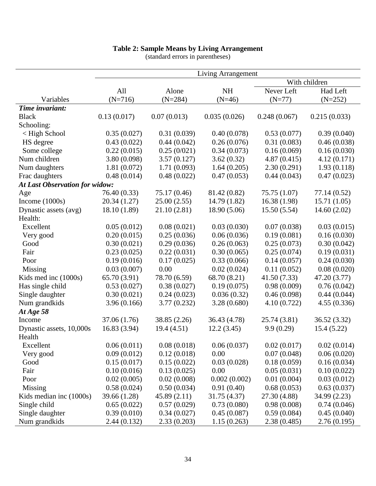### **Table 2: Sample Means by Living Arrangement**

|                                |              |              | Living Arrangement |              |               |
|--------------------------------|--------------|--------------|--------------------|--------------|---------------|
|                                |              |              |                    |              | With children |
|                                | All          | Alone        | <b>NH</b>          | Never Left   | Had Left      |
| Variables                      | $(N=716)$    | $(N=284)$    | $(N=46)$           | $(N=77)$     | $(N=252)$     |
| Time invariant:                |              |              |                    |              |               |
| <b>Black</b>                   | 0.13(0.017)  | 0.07(0.013)  | 0.035(0.026)       | 0.248(0.067) | 0.215(0.033)  |
| Schooling:                     |              |              |                    |              |               |
| < High School                  | 0.35(0.027)  | 0.31(0.039)  | 0.40(0.078)        | 0.53(0.077)  | 0.39(0.040)   |
| HS degree                      | 0.43(0.022)  | 0.44(0.042)  | 0.26(0.076)        | 0.31(0.083)  | 0.46(0.038)   |
| Some college                   | 0.22(0.015)  | 0.25(0/021)  | 0.34(0.073)        | 0.16(0.069)  | 0.16(0.030)   |
| Num children                   | 3.80 (0.098) | 3.57(0.127)  | 3.62(0.32)         | 4.87(0.415)  | 4.12(0.171)   |
| Num daughters                  | 1.81(0.072)  | 1.71(0.093)  | 1.64(0.205)        | 2.30(0.291)  | 1.93(0.118)   |
| Frac daughters                 | 0.48(0.014)  | 0.48(0.022)  | 0.47(0.053)        | 0.44(0.043)  | 0.47(0.023)   |
| At Last Observation for widow: |              |              |                    |              |               |
| Age                            | 76.40 (0.33) | 75.17 (0.46) | 81.42 (0.82)       | 75.75 (1.07) | 77.14 (0.52)  |
| Income $(1000s)$               | 20.34 (1.27) | 25.00(2.55)  | 14.79 (1.82)       | 16.38(1.98)  | 15.71(1.05)   |
| Dynastic assets (avg)          | 18.10 (1.89) | 21.10 (2.81) | 18.90 (5.06)       | 15.50(5.54)  | 14.60(2.02)   |
| Health:                        |              |              |                    |              |               |
| Excellent                      | 0.05(0.012)  | 0.08(0.021)  | 0.03(0.030)        | 0.07(0.038)  | 0.03(0.015)   |
| Very good                      | 0.20(0.015)  | 0.25(0.036)  | 0.06(0.036)        | 0.19(0.081)  | 0.16(0.030)   |
| Good                           | 0.30(0.021)  | 0.29(0.036)  | 0.26(0.063)        | 0.25(0.073)  | 0.30(0.042)   |
| Fair                           | 0.23(0.025)  | 0.22(0.031)  | 0.30(0.065)        | 0.25(0.074)  | 0.19(0.031)   |
| Poor                           | 0.19(0.016)  | 0.17(0.025)  | 0.33(0.066)        | 0.14(0.057)  | 0.24(0.030)   |
| Missing                        | 0.03(0.007)  | 0.00         | 0.02(0.024)        | 0.11(0.052)  | 0.08(0.020)   |
| Kids med inc (1000s)           | 65.70 (3.91) | 78.70 (6.59) | 68.70 (8.21)       | 41.50(7.33)  | 47.20 (3.77)  |
| Has single child               | 0.53(0.027)  | 0.38(0.027)  | 0.19(0.075)        | 0.98(0.009)  | 0.76(0.042)   |
| Single daughter                | 0.30(0.021)  | 0.24(0.023)  | 0.036(0.32)        | 0.46(0.098)  | 0.44(0.044)   |
| Num grandkids                  | 3.96(0.166)  | 3.77(0.232)  | 3.28(0.680)        | 4.10(0.722)  | 4.55(0.336)   |
| At Age 58                      |              |              |                    |              |               |
| Income                         | 37.06 (1.76) | 38.85 (2.26) | 36.43 (4.78)       | 25.74 (3.81) | 36.52 (3.32)  |
| Dynastic assets, 10,000s       | 16.83 (3.94) | 19.4 (4.51)  | 12.2(3.45)         | 9.9(0.29)    | 15.4(5.22)    |
| Health                         |              |              |                    |              |               |
| Excellent                      | 0.06(0.011)  | 0.08(0.018)  | 0.06(0.037)        | 0.02(0.017)  | 0.02(0.014)   |
| Very good                      | 0.09(0.012)  | 0.12(0.018)  | 0.00               | 0.07(0.048)  | 0.06(0.020)   |
| Good                           | 0.15(0.017)  | 0.15(0.022)  | 0.03(0.028)        | 0.18(0.059)  | 0.16(0.034)   |
| Fair                           | 0.10(0.016)  | 0.13(0.025)  | 0.00               | 0.05(0.031)  | 0.10(0.022)   |
| Poor                           | 0.02(0.005)  | 0.02(0.008)  | 0.002(0.002)       | 0.01(0.004)  | 0.03(0.012)   |
| Missing                        | 0.58(0.024)  | 0.50(0.034)  | 0.91(0.40)         | 0.68(0.053)  | 0.63(0.037)   |
| Kids median inc (1000s)        | 39.66 (1.28) | 45.89(2.11)  | 31.75 (4.37)       | 27.30 (4.88) | 34.99 (2.23)  |
| Single child                   | 0.65(0.022)  | 0.57(0.029)  | 0.73(0.080)        | 0.98(0.008)  | 0.74(0.046)   |
| Single daughter                | 0.39(0.010)  | 0.34(0.027)  | 0.45(0.087)        | 0.59(0.084)  | 0.45(0.040)   |
| Num grandkids                  | 2.44(0.132)  | 2.33(0.203)  | 1.15(0.263)        | 2.38(0.485)  | 2.76(0.195)   |

(standard errors in parentheses)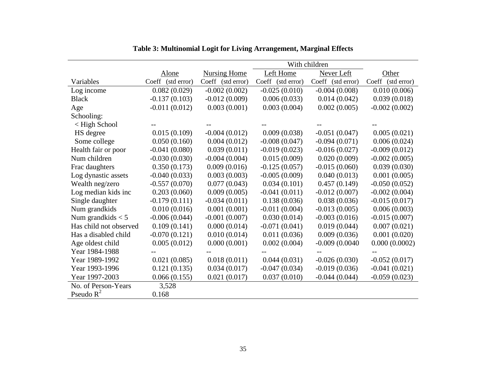|                        | With children     |                     |                   |                   |                   |
|------------------------|-------------------|---------------------|-------------------|-------------------|-------------------|
|                        | Alone             | <b>Nursing Home</b> | Left Home         | Never Left        | Other             |
| Variables              | Coeff (std error) | Coeff (std error)   | Coeff (std error) | Coeff (std error) | Coeff (std error) |
| Log income             | 0.082(0.029)      | $-0.002(0.002)$     | $-0.025(0.010)$   | $-0.004(0.008)$   | 0.010(0.006)      |
| <b>Black</b>           | $-0.137(0.103)$   | $-0.012(0.009)$     | 0.006(0.033)      | 0.014(0.042)      | 0.039(0.018)      |
| Age                    | $-0.011(0.012)$   | 0.003(0.001)        | 0.003(0.004)      | 0.002(0.005)      | $-0.002(0.002)$   |
| Schooling:             |                   |                     |                   |                   |                   |
| $\langle$ High School  |                   |                     |                   |                   |                   |
| HS degree              | 0.015(0.109)      | $-0.004(0.012)$     | 0.009(0.038)      | $-0.051(0.047)$   | 0.005(0.021)      |
| Some college           | 0.050(0.160)      | 0.004(0.012)        | $-0.008(0.047)$   | $-0.094(0.071)$   | 0.006(0.024)      |
| Health fair or poor    | $-0.041(0.080)$   | 0.039(0.011)        | $-0.019(0.023)$   | $-0.016(0.027)$   | $-0.009(0.012)$   |
| Num children           | $-0.030(0.030)$   | $-0.004(0.004)$     | 0.015(0.009)      | 0.020(0.009)      | $-0.002(0.005)$   |
| Frac daughters         | 0.350(0.173)      | 0.009(0.016)        | $-0.125(0.057)$   | $-0.015(0.060)$   | 0.039(0.030)      |
| Log dynastic assets    | $-0.040(0.033)$   | 0.003(0.003)        | $-0.005(0.009)$   | 0.040(0.013)      | 0.001(0.005)      |
| Wealth neg/zero        | $-0.557(0.070)$   | 0.077(0.043)        | 0.034(0.101)      | 0.457(0.149)      | $-0.050(0.052)$   |
| Log median kids inc    | 0.203(0.060)      | 0.009(0.005)        | $-0.041(0.011)$   | $-0.012(0.007)$   | $-0.002(0.004)$   |
| Single daughter        | $-0.179(0.111)$   | $-0.034(0.011)$     | 0.138(0.036)      | 0.038(0.036)      | $-0.015(0.017)$   |
| Num grandkids          | 0.010(0.016)      | 0.001(0.001)        | $-0.011(0.004)$   | $-0.013(0.005)$   | 0.006(0.003)      |
| Num grandkids $<$ 5    | $-0.006(0.044)$   | $-0.001(0.007)$     | 0.030(0.014)      | $-0.003(0.016)$   | $-0.015(0.007)$   |
| Has child not observed | 0.109(0.141)      | 0.000(0.014)        | $-0.071(0.041)$   | 0.019(0.044)      | 0.007(0.021)      |
| Has a disabled child   | $-0.070(0.121)$   | 0.010(0.014)        | 0.011(0.036)      | 0.009(0.036)      | 0.001(0.020)      |
| Age oldest child       | 0.005(0.012)      | 0.000(0.001)        | 0.002(0.004)      | $-0.009(0.0040)$  | 0.000(0.0002)     |
| Year 1984-1988         |                   |                     |                   |                   |                   |
| Year 1989-1992         | 0.021(0.085)      | 0.018(0.011)        | 0.044(0.031)      | $-0.026(0.030)$   | $-0.052(0.017)$   |
| Year 1993-1996         | 0.121(0.135)      | 0.034(0.017)        | $-0.047(0.034)$   | $-0.019(0.036)$   | $-0.041(0.021)$   |
| Year 1997-2003         | 0.066(0.155)      | 0.021(0.017)        | 0.037(0.010)      | $-0.044(0.044)$   | $-0.059(0.023)$   |
| No. of Person-Years    | 3,528             |                     |                   |                   |                   |
| Pseudo $R^2$           | 0.168             |                     |                   |                   |                   |

|  |  |  |  | Table 3: Multinomial Logit for Living Arrangement, Marginal Effects |  |  |
|--|--|--|--|---------------------------------------------------------------------|--|--|
|  |  |  |  |                                                                     |  |  |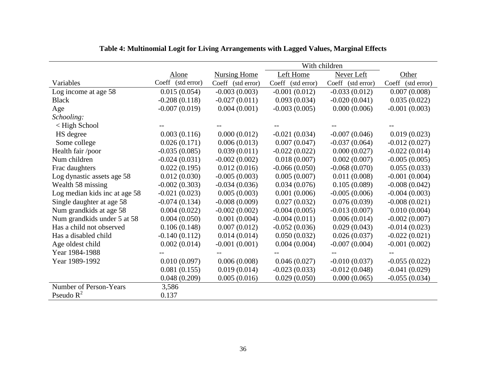|                               | Alone             | <b>Nursing Home</b> | Left Home         | Never Left        | Other             |
|-------------------------------|-------------------|---------------------|-------------------|-------------------|-------------------|
| Variables                     | Coeff (std error) | Coeff (std error)   | Coeff (std error) | Coeff (std error) | Coeff (std error) |
| Log income at age 58          | 0.015(0.054)      | $-0.003(0.003)$     | $-0.001(0.012)$   | $-0.033(0.012)$   | 0.007(0.008)      |
| <b>Black</b>                  | $-0.208(0.118)$   | $-0.027(0.011)$     | 0.093(0.034)      | $-0.020(0.041)$   | 0.035(0.022)      |
| Age                           | $-0.007(0.019)$   | 0.004(0.001)        | $-0.003(0.005)$   | 0.000(0.006)      | $-0.001(0.003)$   |
| Schooling:                    |                   |                     |                   |                   |                   |
| < High School                 |                   |                     |                   |                   |                   |
| HS degree                     | 0.003(0.116)      | 0.000(0.012)        | $-0.021(0.034)$   | $-0.007(0.046)$   | 0.019(0.023)      |
| Some college                  | 0.026(0.171)      | 0.006(0.013)        | 0.007(0.047)      | $-0.037(0.064)$   | $-0.012(0.027)$   |
| Health fair /poor             | $-0.035(0.085)$   | 0.039(0.011)        | $-0.022(0.022)$   | 0.000(0.027)      | $-0.022(0.014)$   |
| Num children                  | $-0.024(0.031)$   | $-0.002(0.002)$     | 0.018(0.007)      | 0.002(0.007)      | $-0.005(0.005)$   |
| Frac daughters                | 0.022(0.195)      | 0.012(0.016)        | $-0.066(0.050)$   | $-0.068(0.070)$   | 0.055(0.033)      |
| Log dynastic assets age 58    | 0.012(0.030)      | $-0.005(0.003)$     | 0.005(0.007)      | 0.011(0.008)      | $-0.001(0.004)$   |
| Wealth 58 missing             | $-0.002(0.303)$   | $-0.034(0.036)$     | 0.034(0.076)      | 0.105(0.089)      | $-0.008(0.042)$   |
| Log median kids inc at age 58 | $-0.021(0.023)$   | 0.005(0.003)        | 0.001(0.006)      | $-0.005(0.006)$   | $-0.004(0.003)$   |
| Single daughter at age 58     | $-0.074(0.134)$   | $-0.008(0.009)$     | 0.027(0.032)      | 0.076(0.039)      | $-0.008(0.021)$   |
| Num grandkids at age 58       | 0.004(0.022)      | $-0.002(0.002)$     | $-0.004(0.005)$   | $-0.013(0.007)$   | 0.010(0.004)      |
| Num grandkids under 5 at 58   | 0.004(0.050)      | 0.001(0.004)        | $-0.004(0.011)$   | 0.006(0.014)      | $-0.002(0.007)$   |
| Has a child not observed      | 0.106(0.148)      | 0.007(0.012)        | $-0.052(0.036)$   | 0.029(0.043)      | $-0.014(0.023)$   |
| Has a disabled child          | $-0.140(0.112)$   | 0.014(0.014)        | 0.050(0.032)      | 0.026(0.037)      | $-0.022(0.021)$   |
| Age oldest child              | 0.002(0.014)      | $-0.001(0.001)$     | 0.004(0.004)      | $-0.007(0.004)$   | $-0.001(0.002)$   |
| Year 1984-1988                |                   |                     |                   |                   |                   |
| Year 1989-1992                | 0.010(0.097)      | 0.006(0.008)        | 0.046(0.027)      | $-0.010(0.037)$   | $-0.055(0.022)$   |
|                               | 0.081(0.155)      | 0.019(0.014)        | $-0.023(0.033)$   | $-0.012(0.048)$   | $-0.041(0.029)$   |
|                               | 0.048(0.209)      | 0.005(0.016)        | 0.029(0.050)      | 0.000(0.065)      | $-0.055(0.034)$   |
| Number of Person-Years        | 3,586             |                     |                   |                   |                   |
| Pseudo $R^2$                  | 0.137             |                     |                   |                   |                   |

## **Table 4: Multinomial Logit for Living Arrangements with Lagged Values, Marginal Effects**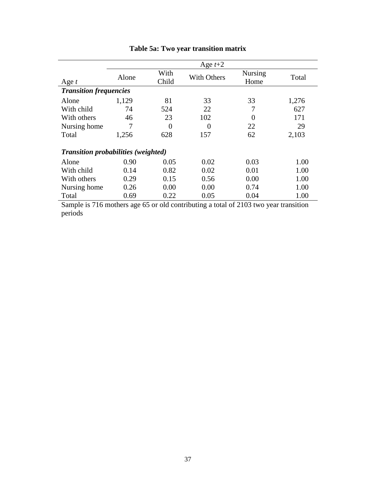|                                            |       |               | Age $t+2$                                                                            |                        |       |
|--------------------------------------------|-------|---------------|--------------------------------------------------------------------------------------|------------------------|-------|
| Age $t$                                    | Alone | With<br>Child | <b>With Others</b>                                                                   | <b>Nursing</b><br>Home | Total |
| <b>Transition frequencies</b>              |       |               |                                                                                      |                        |       |
| Alone                                      | 1,129 | 81            | 33                                                                                   | 33                     | 1,276 |
| With child                                 | 74    | 524           | 22                                                                                   | 7                      | 627   |
| With others                                | 46    | 23            | 102                                                                                  | $\overline{0}$         | 171   |
| Nursing home                               | 7     | 0             | $\Omega$                                                                             | 22                     | 29    |
| Total                                      | 1,256 | 628           | 157                                                                                  | 62                     | 2,103 |
| <b>Transition probabilities (weighted)</b> |       |               |                                                                                      |                        |       |
| Alone                                      | 0.90  | 0.05          | 0.02                                                                                 | 0.03                   | 1.00  |
| With child                                 | 0.14  | 0.82          | 0.02                                                                                 | 0.01                   | 1.00  |
| With others                                | 0.29  | 0.15          | 0.56                                                                                 | 0.00                   | 1.00  |
| Nursing home                               | 0.26  | 0.00          | 0.00                                                                                 | 0.74                   | 1.00  |
| Total                                      | 0.69  | 0.22          | 0.05                                                                                 | 0.04                   | 1.00  |
|                                            |       |               | Sample is 716 mothers age 65 or old contributing a total of 2103 two year transition |                        |       |

# **Table 5a: Two year transition matrix**

Sample is 716 mothers age 65 or old contributing a total of 2103 two year transition periods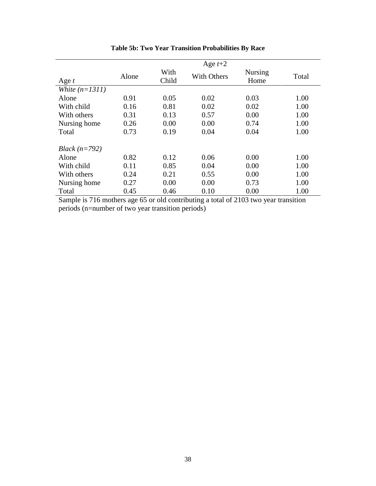| Age $t$          | Alone | With<br>Child | Age $t+2$<br><b>With Others</b> | <b>Nursing</b><br>Home | Total |
|------------------|-------|---------------|---------------------------------|------------------------|-------|
| White $(n=1311)$ |       |               |                                 |                        |       |
| Alone            | 0.91  | 0.05          | 0.02                            | 0.03                   | 1.00  |
| With child       | 0.16  | 0.81          | 0.02                            | 0.02                   | 1.00  |
| With others      | 0.31  | 0.13          | 0.57                            | 0.00                   | 1.00  |
| Nursing home     | 0.26  | 0.00          | 0.00                            | 0.74                   | 1.00  |
| Total            | 0.73  | 0.19          | 0.04                            | 0.04                   | 1.00  |
| Black $(n=792)$  |       |               |                                 |                        |       |
| Alone            | 0.82  | 0.12          | 0.06                            | 0.00                   | 1.00  |
| With child       | 0.11  | 0.85          | 0.04                            | 0.00                   | 1.00  |
| With others      | 0.24  | 0.21          | 0.55                            | 0.00                   | 1.00  |
| Nursing home     | 0.27  | 0.00          | 0.00                            | 0.73                   | 1.00  |
| Total            | 0.45  | 0.46          | 0.10                            | 0.00                   | 1.00  |

**Table 5b: Two Year Transition Probabilities By Race**

Sample is 716 mothers age 65 or old contributing a total of 2103 two year transition periods (n=number of two year transition periods)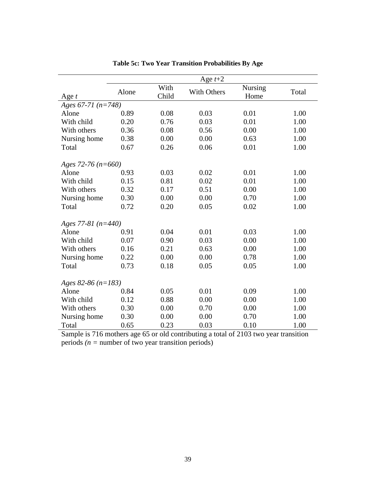|                        | Age $t+2$ |               |             |                 |       |  |  |  |
|------------------------|-----------|---------------|-------------|-----------------|-------|--|--|--|
| Age $t$                | Alone     | With<br>Child | With Others | Nursing<br>Home | Total |  |  |  |
| Ages 67-71 $(n=748)$   |           |               |             |                 |       |  |  |  |
| Alone                  | 0.89      | 0.08          | 0.03        | 0.01            | 1.00  |  |  |  |
| With child             | 0.20      | 0.76          | 0.03        | 0.01            | 1.00  |  |  |  |
| With others            | 0.36      | 0.08          | 0.56        | 0.00            | 1.00  |  |  |  |
| Nursing home           | 0.38      | 0.00          | 0.00        | 0.63            | 1.00  |  |  |  |
| Total                  | 0.67      | 0.26          | 0.06        | 0.01            | 1.00  |  |  |  |
| Ages 72-76 ( $n=660$ ) |           |               |             |                 |       |  |  |  |
| Alone                  | 0.93      | 0.03          | 0.02        | 0.01            | 1.00  |  |  |  |
| With child             | 0.15      | 0.81          | 0.02        | 0.01            | 1.00  |  |  |  |
| With others            | 0.32      | 0.17          | 0.51        | 0.00            | 1.00  |  |  |  |
| Nursing home           | 0.30      | 0.00          | 0.00        | 0.70            | 1.00  |  |  |  |
| Total                  | 0.72      | 0.20          | 0.05        | 0.02            | 1.00  |  |  |  |
| Ages 77-81 $(n=440)$   |           |               |             |                 |       |  |  |  |
| Alone                  | 0.91      | 0.04          | 0.01        | 0.03            | 1.00  |  |  |  |
| With child             | 0.07      | 0.90          | 0.03        | 0.00            | 1.00  |  |  |  |
| With others            | 0.16      | 0.21          | 0.63        | 0.00            | 1.00  |  |  |  |
| Nursing home           | 0.22      | 0.00          | 0.00        | 0.78            | 1.00  |  |  |  |
| Total                  | 0.73      | 0.18          | 0.05        | 0.05            | 1.00  |  |  |  |
| Ages 82-86 ( $n=183$ ) |           |               |             |                 |       |  |  |  |
| Alone                  | 0.84      | 0.05          | 0.01        | 0.09            | 1.00  |  |  |  |
| With child             | 0.12      | 0.88          | 0.00        | 0.00            | 1.00  |  |  |  |
| With others            | 0.30      | 0.00          | 0.70        | 0.00            | 1.00  |  |  |  |
| Nursing home           | 0.30      | 0.00          | 0.00        | 0.70            | 1.00  |  |  |  |
| Total                  | 0.65      | 0.23          | 0.03        | 0.10            | 1.00  |  |  |  |

**Table 5c: Two Year Transition Probabilities By Age**

Sample is 716 mothers age 65 or old contributing a total of 2103 two year transition periods *(n =* number of two year transition periods)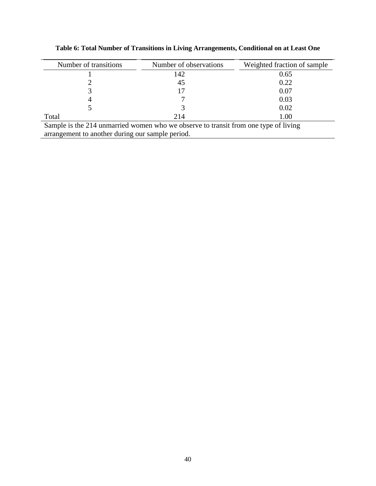| Number of transitions                                                               | Number of observations | Weighted fraction of sample |  |  |  |  |  |  |  |  |
|-------------------------------------------------------------------------------------|------------------------|-----------------------------|--|--|--|--|--|--|--|--|
|                                                                                     | 142                    | 0.65                        |  |  |  |  |  |  |  |  |
|                                                                                     | 45                     | 0.22                        |  |  |  |  |  |  |  |  |
|                                                                                     |                        | 0.07                        |  |  |  |  |  |  |  |  |
|                                                                                     |                        | 0.03                        |  |  |  |  |  |  |  |  |
|                                                                                     |                        | 0.02                        |  |  |  |  |  |  |  |  |
| Total                                                                               | 214                    | 1.00                        |  |  |  |  |  |  |  |  |
| Sample is the 214 unmarried women who we observe to transit from one type of living |                        |                             |  |  |  |  |  |  |  |  |
| arrangement to another during our sample period.                                    |                        |                             |  |  |  |  |  |  |  |  |

**Table 6: Total Number of Transitions in Living Arrangements, Conditional on at Least One**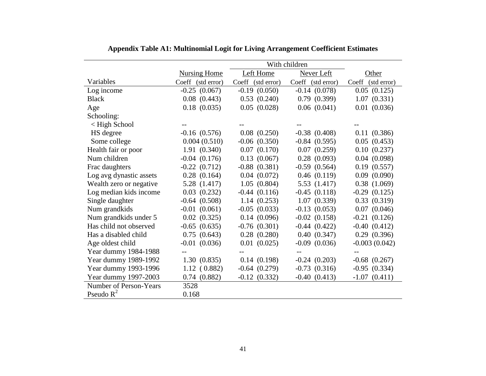|                         |                     |                   | With children     |                   |
|-------------------------|---------------------|-------------------|-------------------|-------------------|
|                         | <b>Nursing Home</b> | Left Home         | Never Left        | Other             |
| Variables               | Coeff (std error)   | Coeff (std error) | Coeff (std error) | Coeff (std error) |
| Log income              | $-0.25$ $(0.067)$   | $-0.19$ $(0.050)$ | $-0.14(0.078)$    | 0.05(0.125)       |
| <b>Black</b>            | $0.08$ $(0.443)$    | 0.53(0.240)       | 0.79(0.399)       | 1.07(0.331)       |
| Age                     | $0.18$ $(0.035)$    | 0.05(0.028)       | 0.06(0.041)       | $0.01$ $(0.036)$  |
| Schooling:              |                     |                   |                   |                   |
| < High School           |                     |                   |                   |                   |
| HS degree               | $-0.16$ $(0.576)$   | $0.08$ $(0.250)$  | $-0.38$ $(0.408)$ | 0.11(0.386)       |
| Some college            | 0.004(0.510)        | $-0.06$ $(0.350)$ | $-0.84(0.595)$    | 0.05(0.453)       |
| Health fair or poor     | 1.91(0.340)         | 0.07(0.170)       | 0.07(0.259)       | 0.10(0.237)       |
| Num children            | $-0.04$ $(0.176)$   | 0.13(0.067)       | $0.28$ $(0.093)$  | 0.04(0.098)       |
| Frac daughters          | $-0.22(0.712)$      | $-0.88$ $(0.381)$ | $-0.59$ $(0.564)$ | 0.19(0.557)       |
| Log avg dynastic assets | $0.28$ $(0.164)$    | $0.04$ $(0.072)$  | 0.46(0.119)       | 0.09(0.090)       |
| Wealth zero or negative | 5.28 (1.417)        | 1.05(0.804)       | 5.53 (1.417)      | 0.38(1.069)       |
| Log median kids income  | 0.03(0.232)         | $-0.44(0.116)$    | $-0.45(0.118)$    | $-0.29$ $(0.125)$ |
| Single daughter         | $-0.64(0.508)$      | 1.14(0.253)       | 1.07(0.339)       | 0.33(0.319)       |
| Num grandkids           | $-0.01$ $(0.061)$   | $-0.05$ $(0.033)$ | $-0.13$ $(0.053)$ | $0.07$ $(0.046)$  |
| Num grandkids under 5   | 0.02(0.325)         | 0.14(0.096)       | $-0.02$ $(0.158)$ | $-0.21(0.126)$    |
| Has child not observed  | $-0.65$ $(0.635)$   | $-0.76$ $(0.301)$ | $-0.44(0.422)$    | $-0.40(0.412)$    |
| Has a disabled child    | 0.75(0.643)         | 0.28(0.280)       | 0.40(0.347)       | 0.29(0.396)       |
| Age oldest child        | $-0.01$ $(0.036)$   | 0.01(0.025)       | $-0.09$ $(0.036)$ | $-0.003(0.042)$   |
| Year dummy 1984-1988    |                     |                   |                   |                   |
| Year dummy 1989-1992    | 1.30(0.835)         | 0.14(0.198)       | $-0.24(0.203)$    | $-0.68$ $(0.267)$ |
| Year dummy 1993-1996    | 1.12(0.882)         | $-0.64(0.279)$    | $-0.73(0.316)$    | $-0.95$ $(0.334)$ |
| Year dummy 1997-2003    | 0.74(0.882)         | $-0.12$ $(0.332)$ | $-0.40(0.413)$    | $-1.07(0.411)$    |
| Number of Person-Years  | 3528                |                   |                   |                   |
| Pseudo $R^2$            | 0.168               |                   |                   |                   |

## **Appendix Table A1: Multinomial Logit for Living Arrangement Coefficient Estimates**